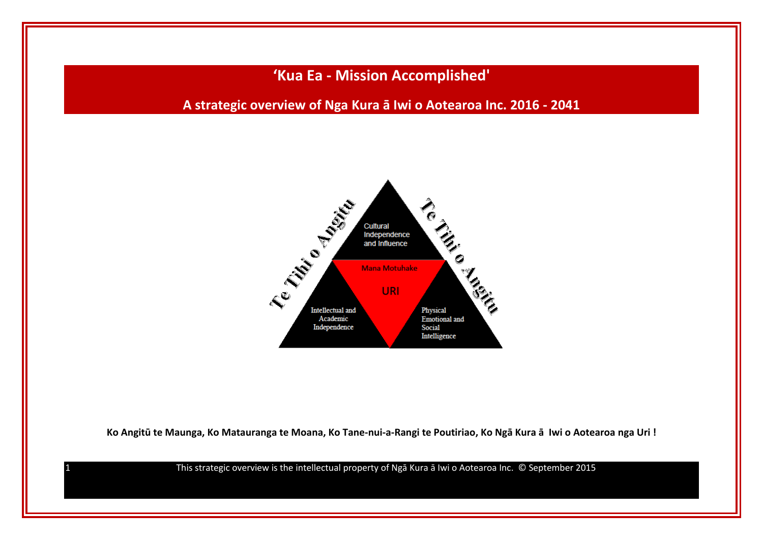**'Kua Ea - Mission Accomplished'**

**A strategic overview of Nga Kura ā Iwi o Aotearoa Inc. 2016 - 2041**



**Ko Angitū te Maunga, Ko Matauranga te Moana, Ko Tane-nui-a-Rangi te Poutiriao, Ko Ngā Kura ā Iwi o Aotearoa nga Uri !**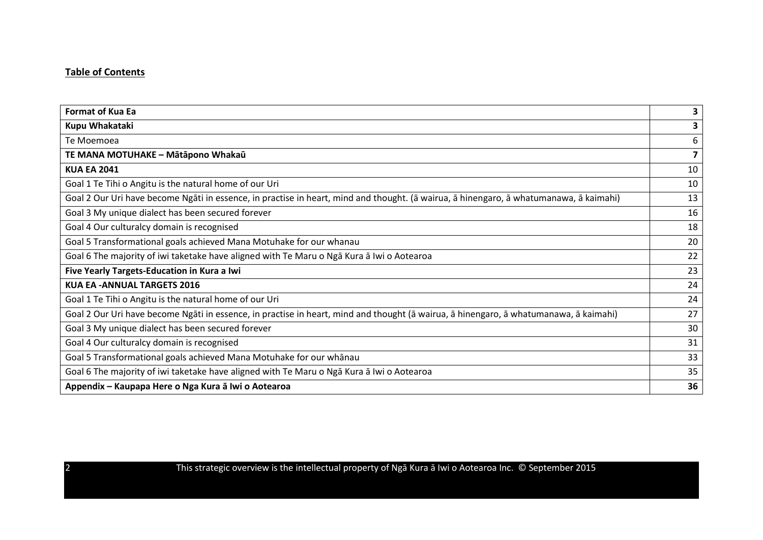## **Table of Contents**

| <b>Format of Kua Ea</b>                                                                                                                | 3  |
|----------------------------------------------------------------------------------------------------------------------------------------|----|
| Kupu Whakataki                                                                                                                         | 3  |
| Te Moemoea                                                                                                                             | 6  |
| TE MANA MOTUHAKE - Mātāpono Whakaū                                                                                                     | 7  |
| <b>KUA EA 2041</b>                                                                                                                     | 10 |
| Goal 1 Te Tihi o Angitu is the natural home of our Uri                                                                                 | 10 |
| Goal 2 Our Uri have become Ngāti in essence, in practise in heart, mind and thought. (ā wairua, ā hinengaro, ā whatumanawa, ā kaimahi) | 13 |
| Goal 3 My unique dialect has been secured forever                                                                                      | 16 |
| Goal 4 Our culturalcy domain is recognised                                                                                             | 18 |
| Goal 5 Transformational goals achieved Mana Motuhake for our whanau                                                                    | 20 |
| Goal 6 The majority of iwi taketake have aligned with Te Maru o Nga Kura a Iwi o Aotearoa                                              | 22 |
| Five Yearly Targets-Education in Kura a Iwi                                                                                            | 23 |
| <b>KUA EA - ANNUAL TARGETS 2016</b>                                                                                                    | 24 |
| Goal 1 Te Tihi o Angitu is the natural home of our Uri                                                                                 | 24 |
| Goal 2 Our Uri have become Ngāti in essence, in practise in heart, mind and thought (ā wairua, ā hinengaro, ā whatumanawa, ā kaimahi)  | 27 |
| Goal 3 My unique dialect has been secured forever                                                                                      | 30 |
| Goal 4 Our culturalcy domain is recognised                                                                                             | 31 |
| Goal 5 Transformational goals achieved Mana Motuhake for our whānau                                                                    | 33 |
| Goal 6 The majority of iwi taketake have aligned with Te Maru o Nga Kura a Iwi o Aotearoa                                              | 35 |
| Appendix – Kaupapa Here o Nga Kura ā Iwi o Aotearoa                                                                                    | 36 |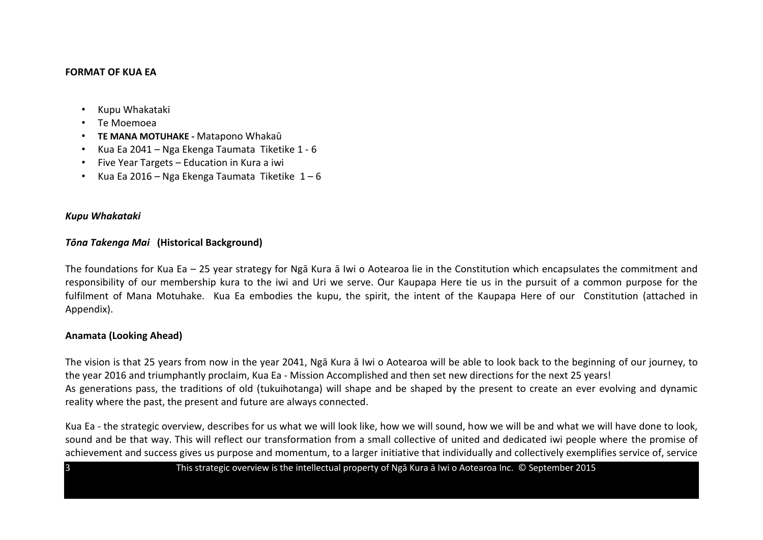#### **FORMAT OF KUA FA**

- Kupu Whakataki
- Te Moemoea
- **TE MANA MOTUHAKE -** Matapono Whakaū
- Kua Ea 2041 Nga Ekenga Taumata Tiketike 1 6
- Five Year Targets Education in Kura a iwi
- Kua Ea 2016 Nga Ekenga Taumata Tiketike  $1-6$

#### *Kupu Whakataki*

#### *Tōna Takenga Mai* **(Historical Background)**

The foundations for Kua Ea – 25 year strategy for Ngā Kura ā Iwi o Aotearoa lie in the Constitution which encapsulates the commitment and responsibility of our membership kura to the iwi and Uri we serve. Our Kaupapa Here tie us in the pursuit of a common purpose for the fulfilment of Mana Motuhake. Kua Ea embodies the kupu, the spirit, the intent of the Kaupapa Here of our Constitution (attached in Appendix).

## **Anamata (Looking Ahead)**

The vision is that 25 years from now in the year 2041, Ngā Kura ā Iwi o Aotearoa will be able to look back to the beginning of our journey, to the year 2016 and triumphantly proclaim, Kua Ea - Mission Accomplished and then set new directions for the next 25 years! As generations pass, the traditions of old (tukuihotanga) will shape and be shaped by the present to create an ever evolving and dynamic reality where the past, the present and future are always connected.

Kua Ea - the strategic overview, describes for us what we will look like, how we will sound, how we will be and what we will have done to look, sound and be that way. This will reflect our transformation from a small collective of united and dedicated iwi people where the promise of achievement and success gives us purpose and momentum, to a larger initiative that individually and collectively exemplifies service of, service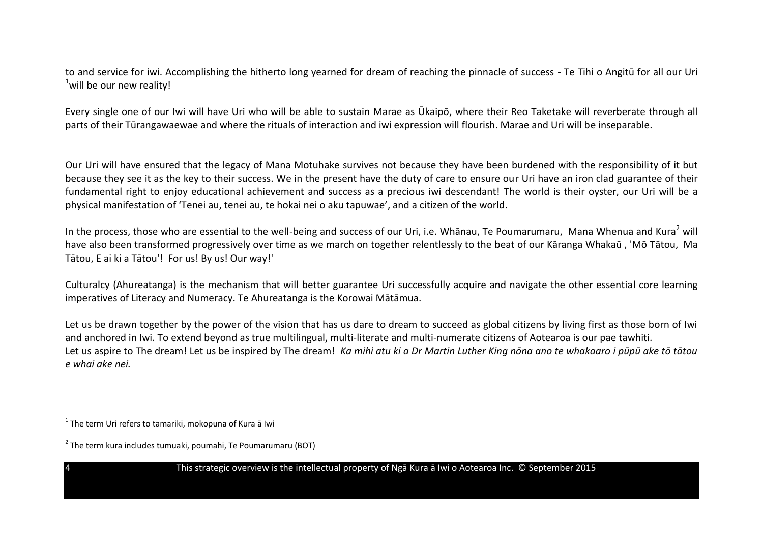to and service for iwi. Accomplishing the hitherto long yearned for dream of reaching the pinnacle of success - Te Tihi o Angitū for all our Uri  $1$  will be our new reality!

Every single one of our Iwi will have Uri who will be able to sustain Marae as Ūkaipō, where their Reo Taketake will reverberate through all parts of their Tūrangawaewae and where the rituals of interaction and iwi expression will flourish. Marae and Uri will be inseparable.

Our Uri will have ensured that the legacy of Mana Motuhake survives not because they have been burdened with the responsibility of it but because they see it as the key to their success. We in the present have the duty of care to ensure our Uri have an iron clad guarantee of their fundamental right to enjoy educational achievement and success as a precious iwi descendant! The world is their oyster, our Uri will be a physical manifestation of 'Tenei au, tenei au, te hokai nei o aku tapuwae', and a citizen of the world.

In the process, those who are essential to the well-being and success of our Uri, i.e. Whānau, Te Poumarumaru, Mana Whenua and Kura<sup>2</sup> will have also been transformed progressively over time as we march on together relentlessly to the beat of our Kāranga Whakaū , 'Mō Tātou, Ma Tātou, E ai ki a Tātou'! For us! By us! Our way!'

Culturalcy (Ahureatanga) is the mechanism that will better guarantee Uri successfully acquire and navigate the other essential core learning imperatives of Literacy and Numeracy. Te Ahureatanga is the Korowai Mātāmua.

Let us be drawn together by the power of the vision that has us dare to dream to succeed as global citizens by living first as those born of Iwi and anchored in Iwi. To extend beyond as true multilingual, multi-literate and multi-numerate citizens of Aotearoa is our pae tawhiti. Let us aspire to The dream! Let us be inspired by The dream! *Ka mihi atu ki a Dr Martin Luther King nōna ano te whakaaro i pūpū ake tō tātou e whai ake nei.*

 1 The term Uri refers to tamariki, mokopuna of Kura ā Iwi

<sup>&</sup>lt;sup>2</sup> The term kura includes tumuaki, poumahi, Te Poumarumaru (BOT)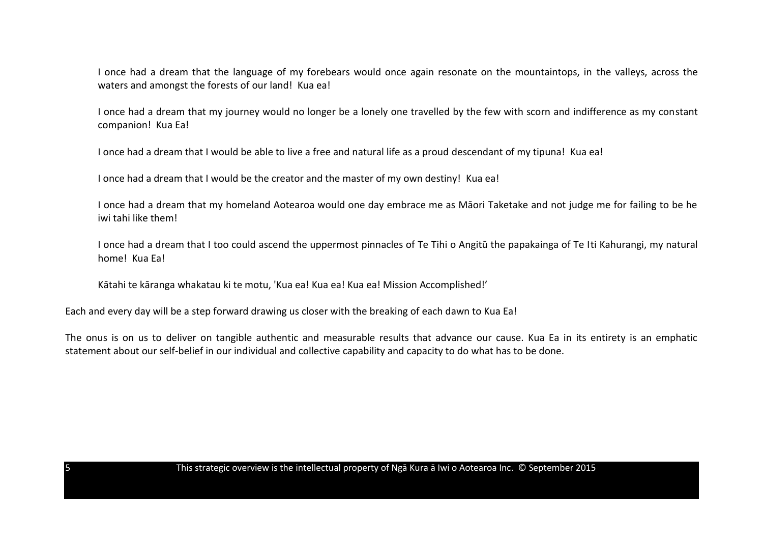I once had a dream that the language of my forebears would once again resonate on the mountaintops, in the valleys, across the waters and amongst the forests of our land! Kua ea!

I once had a dream that my journey would no longer be a lonely one travelled by the few with scorn and indifference as my constant companion! Kua Ea!

I once had a dream that I would be able to live a free and natural life as a proud descendant of my tipuna! Kua ea!

I once had a dream that I would be the creator and the master of my own destiny! Kua ea!

I once had a dream that my homeland Aotearoa would one day embrace me as Māori Taketake and not judge me for failing to be he iwi tahi like them!

I once had a dream that I too could ascend the uppermost pinnacles of Te Tihi o Angitū the papakainga of Te Iti Kahurangi, my natural home! Kua Ea!

Kātahi te kāranga whakatau ki te motu, 'Kua ea! Kua ea! Kua ea! Mission Accomplished!'

Each and every day will be a step forward drawing us closer with the breaking of each dawn to Kua Ea!

The onus is on us to deliver on tangible authentic and measurable results that advance our cause. Kua Ea in its entirety is an emphatic statement about our self-belief in our individual and collective capability and capacity to do what has to be done.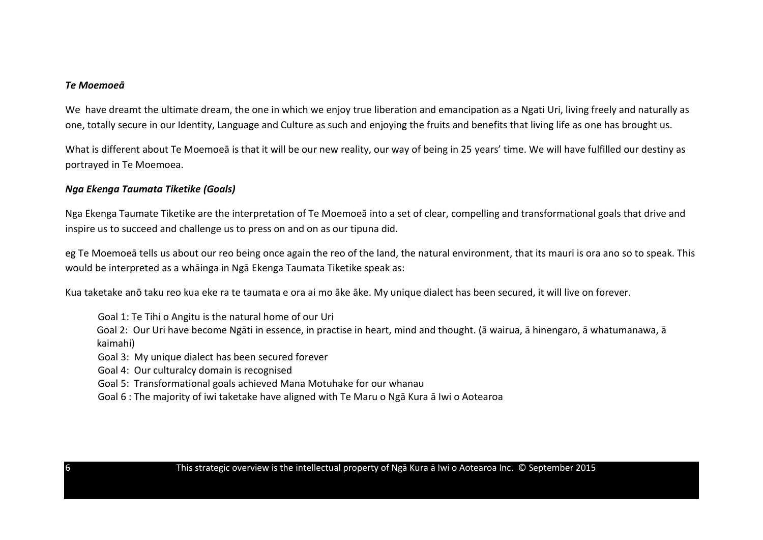#### *Te Moemoeā*

We have dreamt the ultimate dream, the one in which we enjoy true liberation and emancipation as a Ngati Uri, living freely and naturally as one, totally secure in our Identity, Language and Culture as such and enjoying the fruits and benefits that living life as one has brought us.

What is different about Te Moemoeā is that it will be our new reality, our way of being in 25 years' time. We will have fulfilled our destiny as portrayed in Te Moemoea.

#### *Nga Ekenga Taumata Tiketike (Goals)*

Nga Ekenga Taumate Tiketike are the interpretation of Te Moemoeā into a set of clear, compelling and transformational goals that drive and inspire us to succeed and challenge us to press on and on as our tipuna did.

eg Te Moemoeā tells us about our reo being once again the reo of the land, the natural environment, that its mauri is ora ano so to speak. This would be interpreted as a whāinga in Ngā Ekenga Taumata Tiketike speak as:

Kua taketake anō taku reo kua eke ra te taumata e ora ai mo āke āke. My unique dialect has been secured, it will live on forever.

Goal 1: Te Tihi o Angitu is the natural home of our Uri

Goal 2: Our Uri have become Ngāti in essence, in practise in heart, mind and thought. (ā wairua, ā hinengaro, ā whatumanawa, ā kaimahi)

Goal 3: My unique dialect has been secured forever

Goal 4: Our culturalcy domain is recognised

Goal 5: Transformational goals achieved Mana Motuhake for our whanau

Goal 6 : The majority of iwi taketake have aligned with Te Maru o Ngā Kura ā Iwi o Aotearoa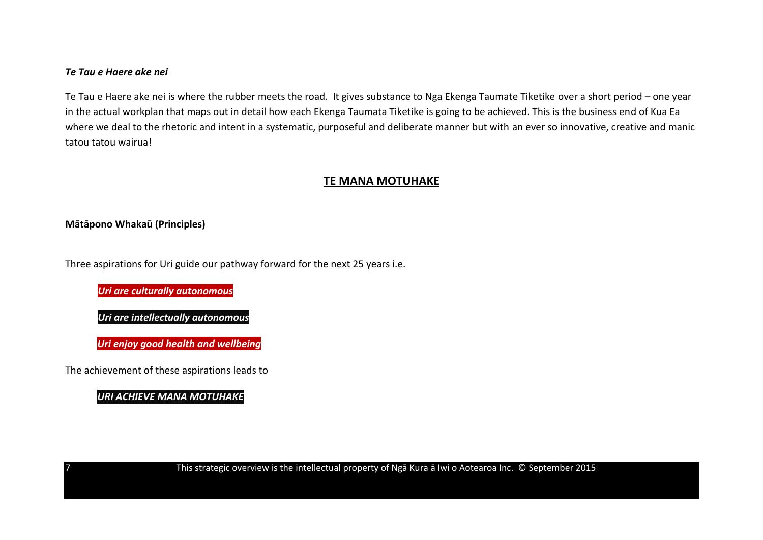## *Te Tau e Haere ake nei*

Te Tau e Haere ake nei is where the rubber meets the road. It gives substance to Nga Ekenga Taumate Tiketike over a short period – one year in the actual workplan that maps out in detail how each Ekenga Taumata Tiketike is going to be achieved. This is the business end of Kua Ea where we deal to the rhetoric and intent in a systematic, purposeful and deliberate manner but with an ever so innovative, creative and manic tatou tatou wairua!

## **TE MANA MOTUHAKE**

## **Mātāpono Whakaū (Principles)**

Three aspirations for Uri guide our pathway forward for the next 25 years i.e.

*Uri are culturally autonomous* 

*Uri are intellectually autonomous*

*Uri enjoy good health and well being Uri enjoy good health and wellbeing*

The achievement of these aspirations leads to

*URI ACHIEVE MANA MOTUHAKE*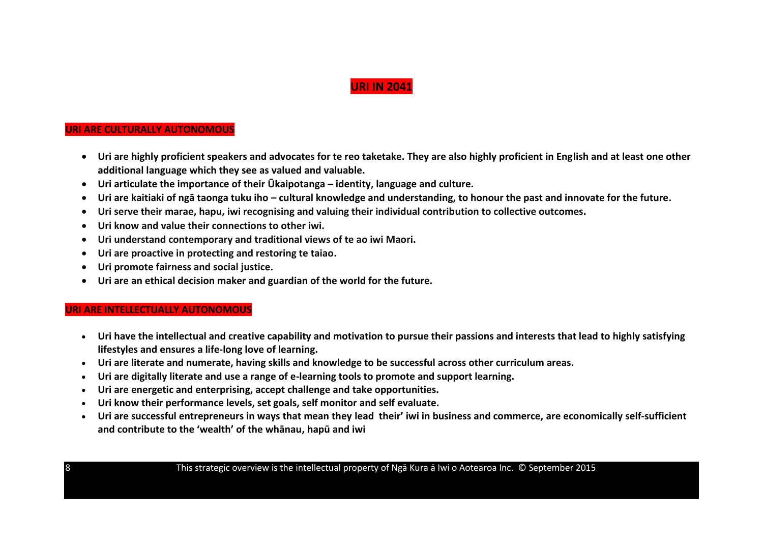## **URI IN 2041**

#### **URI ARE CULTURALLY AUTONOMOUS**

- **Uri are highly proficient speakers and advocates for te reo taketake. They are also highly proficient in English and at least one other additional language which they see as valued and valuable.**
- **Uri articulate the importance of their Ūkaipotanga – identity, language and culture.**
- **Uri are kaitiaki of ngā taonga tuku iho – cultural knowledge and understanding, to honour the past and innovate for the future.**
- **Uri serve their marae, hapu, iwi recognising and valuing their individual contribution to collective outcomes.**
- **Uri know and value their connections to other iwi.**
- **Uri understand contemporary and traditional views of te ao iwi Maori.**
- **Uri are proactive in protecting and restoring te taiao.**
- **Uri promote fairness and social justice.**
- **Uri are an ethical decision maker and guardian of the world for the future.**

#### **URI ARE INTELLECTUALLY AUTONOMOUS**

- **Uri have the intellectual and creative capability and motivation to pursue their passions and interests that lead to highly satisfying lifestyles and ensures a life-long love of learning.**
- **Uri are literate and numerate, having skills and knowledge to be successful across other curriculum areas.**
- **Uri are digitally literate and use a range of e-learning tools to promote and support learning.**
- **Uri are energetic and enterprising, accept challenge and take opportunities.**
- **Uri know their performance levels, set goals, self monitor and self evaluate.**
- **Uri are successful entrepreneurs in ways that mean they lead their' iwi in business and commerce, are economically self-sufficient and contribute to the 'wealth' of the whānau, hapū and iwi**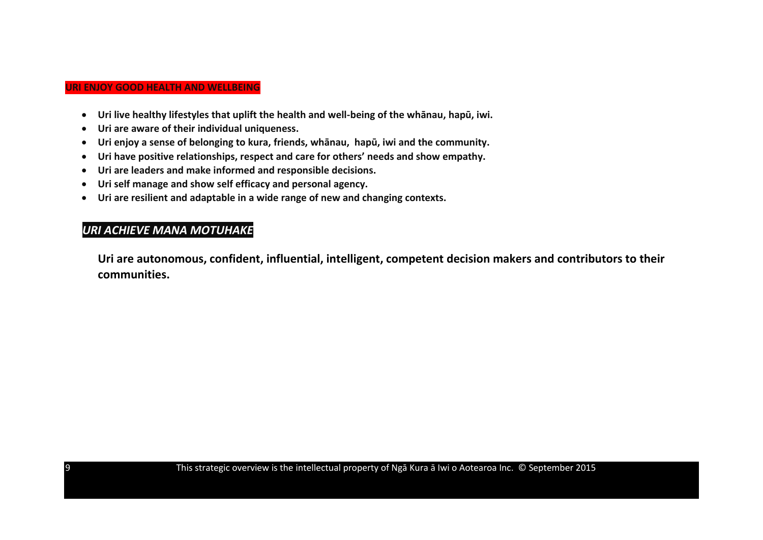#### **URI ENJOY GOOD HEALTH AND WELLBEING**

- **Uri live healthy lifestyles that uplift the health and well-being of the whānau, hapū, iwi.**
- **Uri are aware of their individual uniqueness.**
- **Uri enjoy a sense of belonging to kura, friends, whānau, hapū, iwi and the community.**
- **Uri have positive relationships, respect and care for others' needs and show empathy.**
- **Uri are leaders and make informed and responsible decisions.**
- **Uri self manage and show self efficacy and personal agency.**
- **Uri are resilient and adaptable in a wide range of new and changing contexts.**

## *URI ACHIEVE MANA MOTUHAKE*

**Uri are autonomous, confident, influential, intelligent, competent decision makers and contributors to their communities.**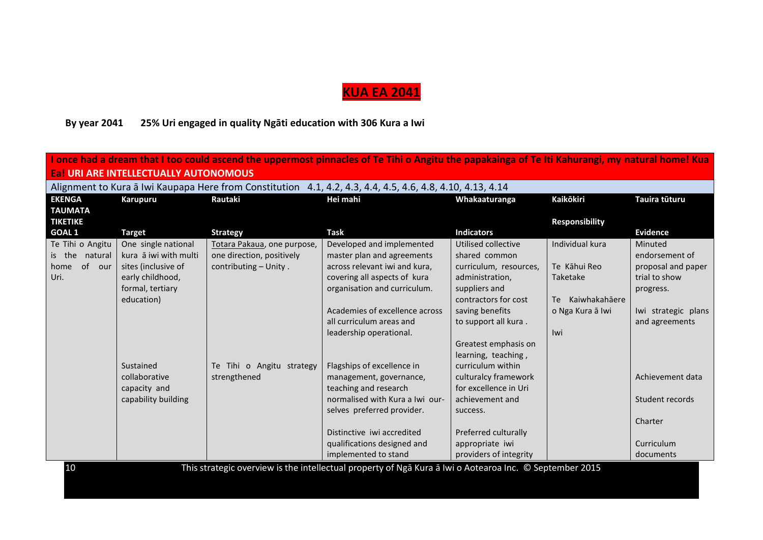# **KUA EA 2041**

# **By year 2041 25% Uri engaged in quality Ngāti education with 306 Kura a Iwi**

| I once had a dream that I too could ascend the uppermost pinnacles of Te Tihi o Angitu the papakainga of Te Iti Kahurangi, my natural home! Kua |                                                                                                            |                             |                                                                                                         |                        |                       |                     |  |  |
|-------------------------------------------------------------------------------------------------------------------------------------------------|------------------------------------------------------------------------------------------------------------|-----------------------------|---------------------------------------------------------------------------------------------------------|------------------------|-----------------------|---------------------|--|--|
|                                                                                                                                                 | <b>Eal URI ARE INTELLECTUALLY AUTONOMOUS</b>                                                               |                             |                                                                                                         |                        |                       |                     |  |  |
|                                                                                                                                                 | Alignment to Kura a Iwi Kaupapa Here from Constitution 4.1, 4.2, 4.3, 4.4, 4.5, 4.6, 4.8, 4.10, 4.13, 4.14 |                             |                                                                                                         |                        |                       |                     |  |  |
| <b>EKENGA</b>                                                                                                                                   | Karupuru                                                                                                   | Rautaki                     | Hei mahi                                                                                                | Whakaaturanga          | <b>Kaikōkiri</b>      | Tauira tūturu       |  |  |
| <b>TAUMATA</b>                                                                                                                                  |                                                                                                            |                             |                                                                                                         |                        |                       |                     |  |  |
| <b>TIKETIKE</b>                                                                                                                                 |                                                                                                            |                             |                                                                                                         |                        | <b>Responsibility</b> |                     |  |  |
| <b>GOAL 1</b>                                                                                                                                   | <b>Target</b>                                                                                              | <b>Strategy</b>             | <b>Task</b>                                                                                             | <b>Indicators</b>      |                       | <b>Evidence</b>     |  |  |
| Te Tihi o Angitu                                                                                                                                | One single national                                                                                        | Totara Pakaua, one purpose, | Developed and implemented                                                                               | Utilised collective    | Individual kura       | Minuted             |  |  |
| is the<br>natural                                                                                                                               | kura ā iwi with multi                                                                                      | one direction, positively   | master plan and agreements                                                                              | shared common          |                       | endorsement of      |  |  |
| of our<br>home                                                                                                                                  | sites (inclusive of                                                                                        | contributing - Unity.       | across relevant iwi and kura,                                                                           | curriculum, resources, | Te Kāhui Reo          | proposal and paper  |  |  |
| Uri.                                                                                                                                            | early childhood,                                                                                           |                             | covering all aspects of kura                                                                            | administration,        | Taketake              | trial to show       |  |  |
|                                                                                                                                                 | formal, tertiary                                                                                           |                             | organisation and curriculum.                                                                            | suppliers and          |                       | progress.           |  |  |
|                                                                                                                                                 | education)                                                                                                 |                             |                                                                                                         | contractors for cost   | Kaiwhakahāere<br>Te   |                     |  |  |
|                                                                                                                                                 |                                                                                                            |                             | Academies of excellence across                                                                          | saving benefits        | o Nga Kura ā Iwi      | Iwi strategic plans |  |  |
|                                                                                                                                                 |                                                                                                            |                             | all curriculum areas and                                                                                | to support all kura.   |                       | and agreements      |  |  |
|                                                                                                                                                 |                                                                                                            |                             | leadership operational.                                                                                 |                        | Iwi                   |                     |  |  |
|                                                                                                                                                 |                                                                                                            |                             |                                                                                                         | Greatest emphasis on   |                       |                     |  |  |
|                                                                                                                                                 |                                                                                                            |                             |                                                                                                         | learning, teaching,    |                       |                     |  |  |
|                                                                                                                                                 | Sustained                                                                                                  | Te Tihi o Angitu strategy   | Flagships of excellence in                                                                              | curriculum within      |                       |                     |  |  |
|                                                                                                                                                 | collaborative                                                                                              | strengthened                | management, governance,                                                                                 | culturalcy framework   |                       | Achievement data    |  |  |
|                                                                                                                                                 | capacity and                                                                                               |                             | teaching and research                                                                                   | for excellence in Uri  |                       |                     |  |  |
|                                                                                                                                                 | capability building                                                                                        |                             | normalised with Kura a Iwi our-                                                                         | achievement and        |                       | Student records     |  |  |
|                                                                                                                                                 |                                                                                                            |                             | selves preferred provider.                                                                              | success.               |                       |                     |  |  |
|                                                                                                                                                 |                                                                                                            |                             |                                                                                                         |                        |                       | Charter             |  |  |
|                                                                                                                                                 |                                                                                                            |                             | Distinctive iwi accredited                                                                              | Preferred culturally   |                       |                     |  |  |
|                                                                                                                                                 |                                                                                                            |                             | qualifications designed and                                                                             | appropriate iwi        |                       | Curriculum          |  |  |
|                                                                                                                                                 |                                                                                                            |                             | implemented to stand                                                                                    | providers of integrity |                       | documents           |  |  |
| 10                                                                                                                                              |                                                                                                            |                             | This strategic overview is the intellectual property of Nga Kura a Iwi o Aotearoa Inc. © September 2015 |                        |                       |                     |  |  |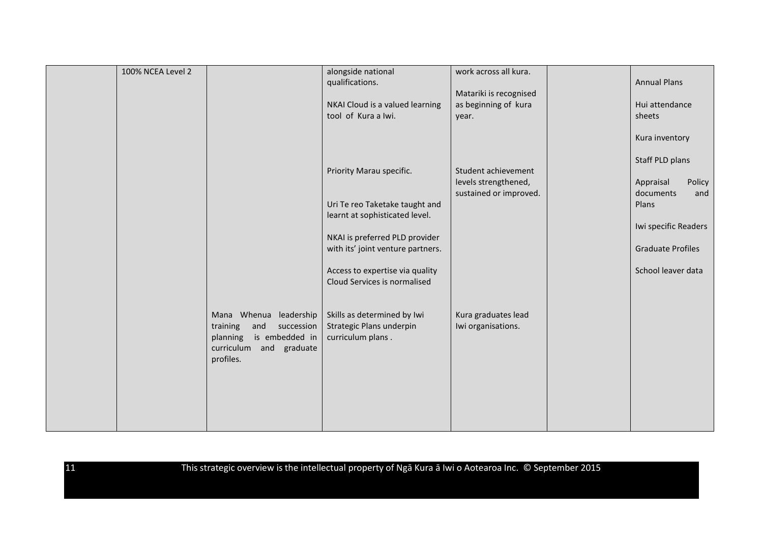| 100% NCEA Level 2 |                                                                                                                               | alongside national<br>qualifications.<br>NKAI Cloud is a valued learning<br>tool of Kura a Iwi.                                                                            | work across all kura.<br>Matariki is recognised<br>as beginning of kura<br>year. | <b>Annual Plans</b><br>Hui attendance<br>sheets                                                     |
|-------------------|-------------------------------------------------------------------------------------------------------------------------------|----------------------------------------------------------------------------------------------------------------------------------------------------------------------------|----------------------------------------------------------------------------------|-----------------------------------------------------------------------------------------------------|
|                   |                                                                                                                               | Priority Marau specific.                                                                                                                                                   | Student achievement<br>levels strengthened,                                      | Kura inventory<br>Staff PLD plans<br>Policy<br>Appraisal                                            |
|                   |                                                                                                                               | Uri Te reo Taketake taught and<br>learnt at sophisticated level.<br>NKAI is preferred PLD provider<br>with its' joint venture partners.<br>Access to expertise via quality | sustained or improved.                                                           | documents<br>and<br>Plans<br>Iwi specific Readers<br><b>Graduate Profiles</b><br>School leaver data |
|                   | Mana Whenua leadership<br>training<br>and<br>succession<br>planning<br>is embedded in<br>curriculum and graduate<br>profiles. | Cloud Services is normalised<br>Skills as determined by Iwi<br>Strategic Plans underpin<br>curriculum plans.                                                               | Kura graduates lead<br>Iwi organisations.                                        |                                                                                                     |
|                   |                                                                                                                               |                                                                                                                                                                            |                                                                                  |                                                                                                     |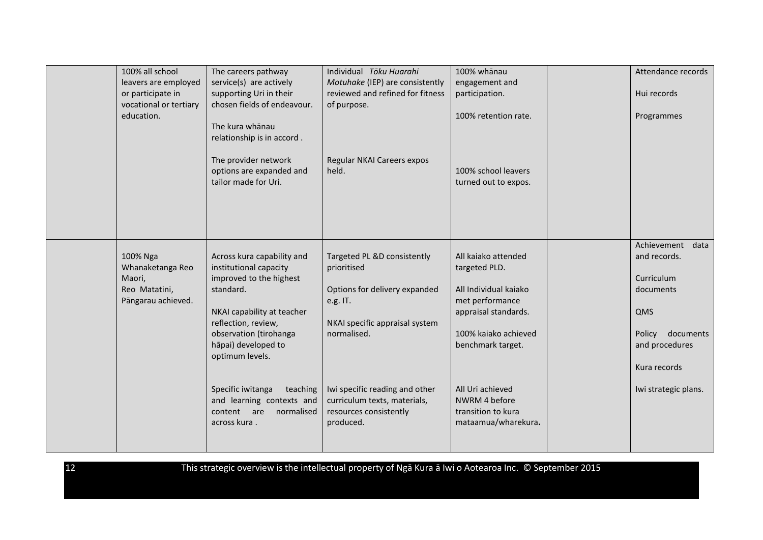| 100% all school<br>leavers are employed<br>or participate in<br>vocational or tertiary<br>education. | The careers pathway<br>service(s) are actively<br>supporting Uri in their<br>chosen fields of endeavour.<br>The kura whānau<br>relationship is in accord.                                                             | Individual Tōku Huarahi<br>Motuhake (IEP) are consistently<br>reviewed and refined for fitness<br>of purpose.                            | 100% whānau<br>engagement and<br>participation.<br>100% retention rate.                                                                               | Attendance records<br>Hui records<br>Programmes                                                                             |
|------------------------------------------------------------------------------------------------------|-----------------------------------------------------------------------------------------------------------------------------------------------------------------------------------------------------------------------|------------------------------------------------------------------------------------------------------------------------------------------|-------------------------------------------------------------------------------------------------------------------------------------------------------|-----------------------------------------------------------------------------------------------------------------------------|
|                                                                                                      | The provider network<br>options are expanded and<br>tailor made for Uri.                                                                                                                                              | Regular NKAI Careers expos<br>held.                                                                                                      | 100% school leavers<br>turned out to expos.                                                                                                           |                                                                                                                             |
| 100% Nga<br>Whanaketanga Reo<br>Maori,<br>Reo Matatini,<br>Pāngarau achieved.                        | Across kura capability and<br>institutional capacity<br>improved to the highest<br>standard.<br>NKAI capability at teacher<br>reflection, review,<br>observation (tirohanga<br>hāpai) developed to<br>optimum levels. | Targeted PL &D consistently<br>prioritised<br>Options for delivery expanded<br>e.g. IT.<br>NKAI specific appraisal system<br>normalised. | All kajako attended<br>targeted PLD.<br>All Individual kaiako<br>met performance<br>appraisal standards.<br>100% kaiako achieved<br>benchmark target. | Achievement data<br>and records.<br>Curriculum<br>documents<br>QMS<br>documents<br>Policy<br>and procedures<br>Kura records |
|                                                                                                      | Specific iwitanga<br>teaching<br>and learning contexts and<br>content are<br>normalised<br>across kura.                                                                                                               | Iwi specific reading and other<br>curriculum texts, materials,<br>resources consistently<br>produced.                                    | All Uri achieved<br>NWRM 4 before<br>transition to kura<br>mataamua/wharekura.                                                                        | Iwi strategic plans.                                                                                                        |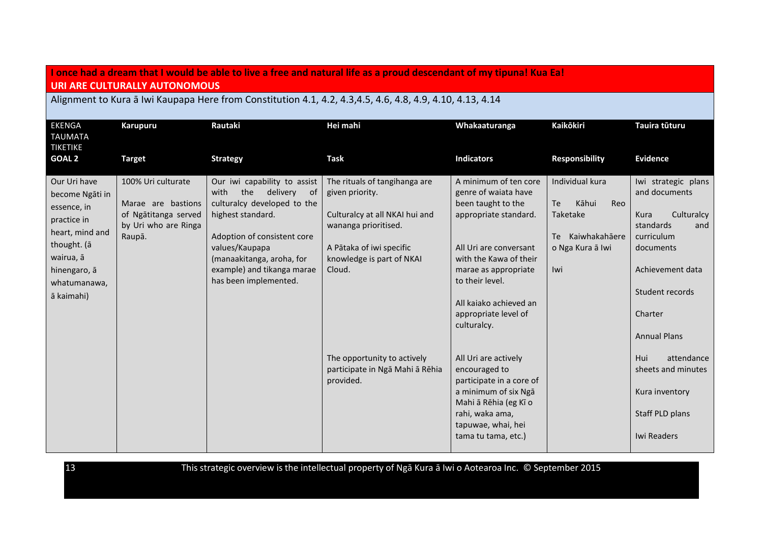## **I once had a dream that I would be able to live a free and natural life as a proud descendant of my tipuna! Kua Ea! URI ARE CULTURALLY AUTONOMOUS**

Alignment to Kura ā Iwi Kaupapa Here from Constitution 4.1, 4.2, 4.3,4.5, 4.6, 4.8, 4.9, 4.10, 4.13, 4.14

| <b>EKENGA</b>                                                                                                                                              |                                                                                                    | Rautaki                                                                                                                                                                                                                                                | Hei mahi                                                                                                                                                                      | Whakaaturanga                                                                                                                                                                                                                                                | <b>Kaikōkiri</b>                                                                                        | Tauira tūturu                                                                                                                                                                      |
|------------------------------------------------------------------------------------------------------------------------------------------------------------|----------------------------------------------------------------------------------------------------|--------------------------------------------------------------------------------------------------------------------------------------------------------------------------------------------------------------------------------------------------------|-------------------------------------------------------------------------------------------------------------------------------------------------------------------------------|--------------------------------------------------------------------------------------------------------------------------------------------------------------------------------------------------------------------------------------------------------------|---------------------------------------------------------------------------------------------------------|------------------------------------------------------------------------------------------------------------------------------------------------------------------------------------|
| <b>TAUMATA</b><br><b>TIKETIKE</b>                                                                                                                          | <b>Karupuru</b>                                                                                    |                                                                                                                                                                                                                                                        |                                                                                                                                                                               |                                                                                                                                                                                                                                                              |                                                                                                         |                                                                                                                                                                                    |
| <b>GOAL 2</b>                                                                                                                                              | <b>Target</b>                                                                                      | <b>Strategy</b>                                                                                                                                                                                                                                        | <b>Task</b>                                                                                                                                                                   | <b>Indicators</b>                                                                                                                                                                                                                                            | <b>Responsibility</b>                                                                                   | <b>Evidence</b>                                                                                                                                                                    |
| Our Uri have<br>become Ngāti in<br>essence, in<br>practice in<br>heart, mind and<br>thought. (ā<br>wairua, ā<br>hinengaro, ā<br>whatumanawa,<br>ā kaimahi) | 100% Uri culturate<br>Marae are bastions<br>of Ngātitanga served<br>by Uri who are Ringa<br>Raupā. | Our iwi capability to assist<br>the<br>with<br>delivery<br>of<br>culturalcy developed to the<br>highest standard.<br>Adoption of consistent core<br>values/Kaupapa<br>(manaakitanga, aroha, for<br>example) and tikanga marae<br>has been implemented. | The rituals of tangihanga are<br>given priority.<br>Culturalcy at all NKAI hui and<br>wananga prioritised.<br>A Pātaka of iwi specific<br>knowledge is part of NKAI<br>Cloud. | A minimum of ten core<br>genre of waiata have<br>been taught to the<br>appropriate standard.<br>All Uri are conversant<br>with the Kawa of their<br>marae as appropriate<br>to their level.<br>All kajako achieved an<br>appropriate level of<br>culturalcy. | Individual kura<br>Kāhui<br><b>Te</b><br>Reo<br>Taketake<br>Te Kaiwhakahāere<br>o Nga Kura ā Iwi<br>Iwi | Iwi strategic plans<br>and documents<br>Culturalcy<br>Kura<br>standards<br>and<br>curriculum<br>documents<br>Achievement data<br>Student records<br>Charter<br><b>Annual Plans</b> |
|                                                                                                                                                            |                                                                                                    |                                                                                                                                                                                                                                                        | The opportunity to actively<br>participate in Ngā Mahi ā Rēhia<br>provided.                                                                                                   | All Uri are actively<br>encouraged to<br>participate in a core of<br>a minimum of six Nga<br>Mahi ā Rēhia (eg Kī o<br>rahi, waka ama,<br>tapuwae, whai, hei<br>tama tu tama, etc.)                                                                           |                                                                                                         | Hui<br>attendance<br>sheets and minutes<br>Kura inventory<br>Staff PLD plans<br>Iwi Readers                                                                                        |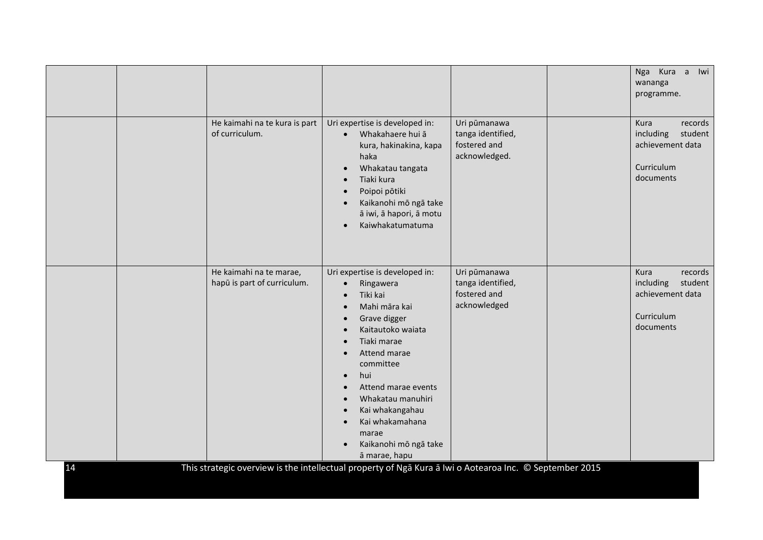|    |                                                        |                                                                                                                                                                                                                                                                                                                                                                                                                                                                                                                                                    |                                                                    | wananga<br>programme.                                                                         |
|----|--------------------------------------------------------|----------------------------------------------------------------------------------------------------------------------------------------------------------------------------------------------------------------------------------------------------------------------------------------------------------------------------------------------------------------------------------------------------------------------------------------------------------------------------------------------------------------------------------------------------|--------------------------------------------------------------------|-----------------------------------------------------------------------------------------------|
|    | He kaimahi na te kura is part<br>of curriculum.        | Uri expertise is developed in:<br>Whakahaere hui ā<br>$\bullet$<br>kura, hakinakina, kapa<br>haka<br>Whakatau tangata<br>$\bullet$<br>Tiaki kura<br>$\bullet$<br>Poipoi pōtiki<br>$\bullet$<br>Kaikanohi mō ngā take<br>$\bullet$<br>ā iwi, ā hapori, ā motu<br>Kaiwhakatumatuma<br>$\bullet$                                                                                                                                                                                                                                                      | Uri pūmanawa<br>tanga identified,<br>fostered and<br>acknowledged. | <b>Kura</b><br>records<br>including<br>student<br>achievement data<br>Curriculum<br>documents |
| 14 | He kaimahi na te marae,<br>hapū is part of curriculum. | Uri expertise is developed in:<br>Ringawera<br>$\bullet$<br>Tiki kai<br>$\bullet$<br>Mahi māra kai<br>$\bullet$<br>Grave digger<br>$\bullet$<br>Kaitautoko waiata<br>Tiaki marae<br>Attend marae<br>$\bullet$<br>committee<br>hui<br>$\bullet$<br>Attend marae events<br>$\bullet$<br>Whakatau manuhiri<br>$\bullet$<br>Kai whakangahau<br>$\bullet$<br>Kai whakamahana<br>$\bullet$<br>marae<br>Kaikanohi mō ngā take<br>ā marae, hapu<br>This strategic overview is the intellectual property of Nga Kura a Iwi o Aotearoa Inc. © September 2015 | Uri pūmanawa<br>tanga identified,<br>fostered and<br>acknowledged  | Kura<br>records<br>including<br>student<br>achievement data<br>Curriculum<br>documents        |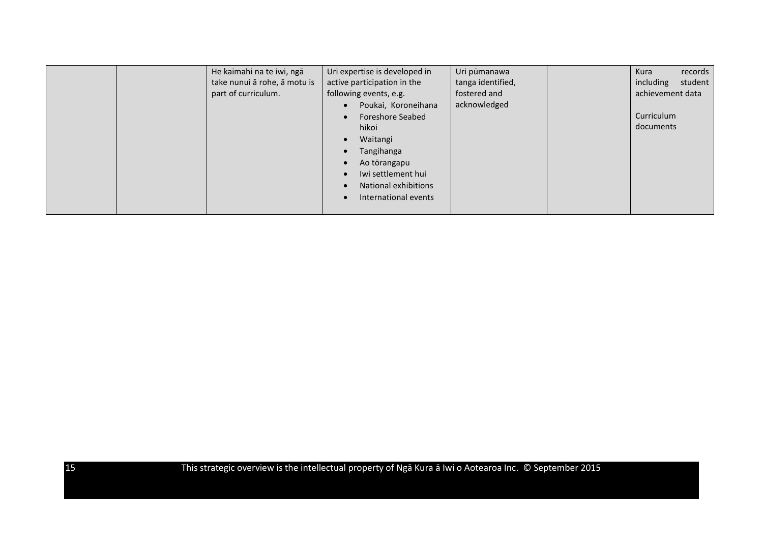|  | He kaimahi na te iwi, ngā    | Uri expertise is developed in        | Uri pūmanawa      | records<br>Kura      |
|--|------------------------------|--------------------------------------|-------------------|----------------------|
|  | take nunui ā rohe, ā motu is | active participation in the          | tanga identified, | student<br>including |
|  | part of curriculum.          | following events, e.g.               | fostered and      | achievement data     |
|  |                              | Poukai, Koroneihana<br>$\bullet$     | acknowledged      |                      |
|  |                              | <b>Foreshore Seabed</b><br>$\bullet$ |                   | Curriculum           |
|  |                              | hikoi                                |                   | documents            |
|  |                              | Waitangi<br>$\bullet$                |                   |                      |
|  |                              | Tangihanga<br>$\bullet$              |                   |                      |
|  |                              | Ao tōrangapu<br>$\bullet$            |                   |                      |
|  |                              | Iwi settlement hui<br>$\bullet$      |                   |                      |
|  |                              | National exhibitions<br>$\bullet$    |                   |                      |
|  |                              | International events<br>$\bullet$    |                   |                      |
|  |                              |                                      |                   |                      |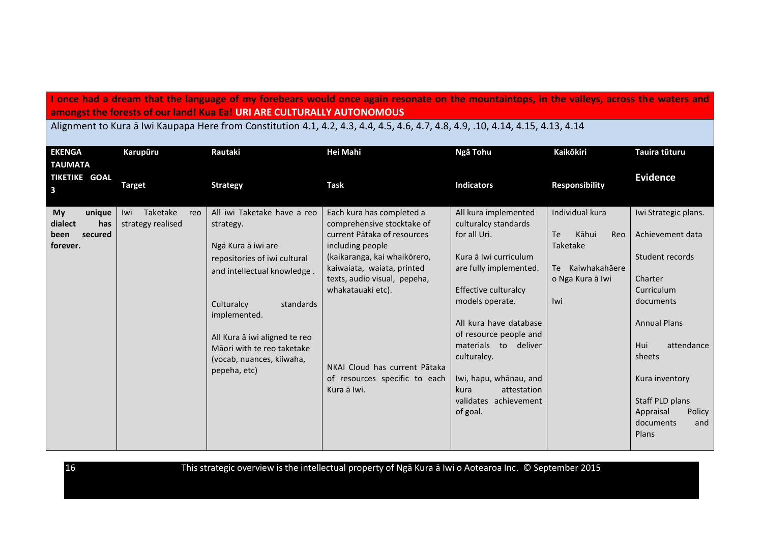**I once had a dream that the language of my forebears would once again resonate on the mountaintops, in the valleys, across the waters and amongst the forests of our land! Kua Ea! URI ARE CULTURALLY AUTONOMOUS**

Alignment to Kura ā Iwi Kaupapa Here from Constitution 4.1, 4.2, 4.3, 4.4, 4.5, 4.6, 4.7, 4.8, 4.9, .10, 4.14, 4.15, 4.13, 4.14

| <b>EKENGA</b><br>TAUMATA                                      | Karupūru                                    | Rautaki                                                                                                                                                                                                                                                                              | Hei Mahi                                                                                                                                                                                                                                                                                                       | Ngā Tohu                                                                                                                                                                                                                                                                                                                                       | <b>Kaikōkiri</b>                                                                                           | Tauira tūturu                                                                                                                                                                                                                           |
|---------------------------------------------------------------|---------------------------------------------|--------------------------------------------------------------------------------------------------------------------------------------------------------------------------------------------------------------------------------------------------------------------------------------|----------------------------------------------------------------------------------------------------------------------------------------------------------------------------------------------------------------------------------------------------------------------------------------------------------------|------------------------------------------------------------------------------------------------------------------------------------------------------------------------------------------------------------------------------------------------------------------------------------------------------------------------------------------------|------------------------------------------------------------------------------------------------------------|-----------------------------------------------------------------------------------------------------------------------------------------------------------------------------------------------------------------------------------------|
| <b>TIKETIKE GOAL</b><br>$\overline{\mathbf{3}}$               | <b>Target</b>                               | <b>Strategy</b>                                                                                                                                                                                                                                                                      | <b>Task</b>                                                                                                                                                                                                                                                                                                    | <b>Indicators</b>                                                                                                                                                                                                                                                                                                                              | <b>Responsibility</b>                                                                                      | <b>Evidence</b>                                                                                                                                                                                                                         |
| My<br>unique<br>dialect<br>has<br>secured<br>been<br>forever. | Taketake<br>Iwi<br>reo<br>strategy realised | All iwi Taketake have a reo<br>strategy.<br>Ngā Kura ā iwi are<br>repositories of iwi cultural<br>and intellectual knowledge.<br>Culturalcy<br>standards<br>implemented.<br>All Kura ā iwi aligned te reo<br>Māori with te reo taketake<br>(vocab, nuances, kiiwaha,<br>pepeha, etc) | Each kura has completed a<br>comprehensive stocktake of<br>current Pātaka of resources<br>including people<br>(kaikaranga, kai whaikōrero,<br>kaiwaiata, waiata, printed<br>texts, audio visual, pepeha,<br>whakatauaki etc).<br>NKAI Cloud has current Pātaka<br>of resources specific to each<br>Kura ā Iwi. | All kura implemented<br>culturalcy standards<br>for all Uri.<br>Kura ā Iwi curriculum<br>are fully implemented.<br>Effective culturalcy<br>models operate.<br>All kura have database<br>of resource people and<br>deliver<br>materials to<br>culturalcy.<br>Iwi, hapu, whānau, and<br>attestation<br>kura<br>validates achievement<br>of goal. | Individual kura<br><b>Te</b><br>Kāhui<br>Reo<br>Taketake<br>Kaiwhakahāere<br>Te<br>o Nga Kura ā Iwi<br>Iwi | Iwi Strategic plans.<br>Achievement data<br>Student records<br>Charter<br>Curriculum<br>documents<br><b>Annual Plans</b><br>attendance<br>Hui<br>sheets<br>Kura inventory<br>Staff PLD plans<br>Appraisal<br>Policy<br>documents<br>and |
|                                                               |                                             |                                                                                                                                                                                                                                                                                      |                                                                                                                                                                                                                                                                                                                |                                                                                                                                                                                                                                                                                                                                                |                                                                                                            | Plans                                                                                                                                                                                                                                   |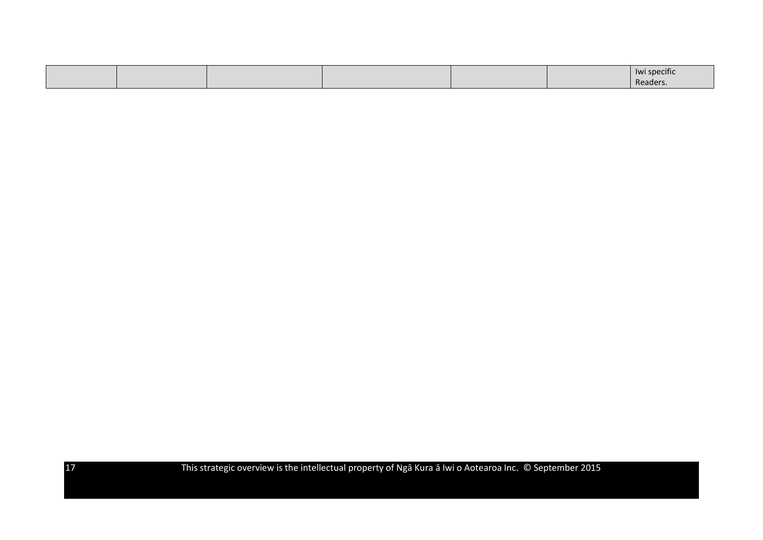|  |  |  | <b>Iwi specific</b> |
|--|--|--|---------------------|
|  |  |  | Reader              |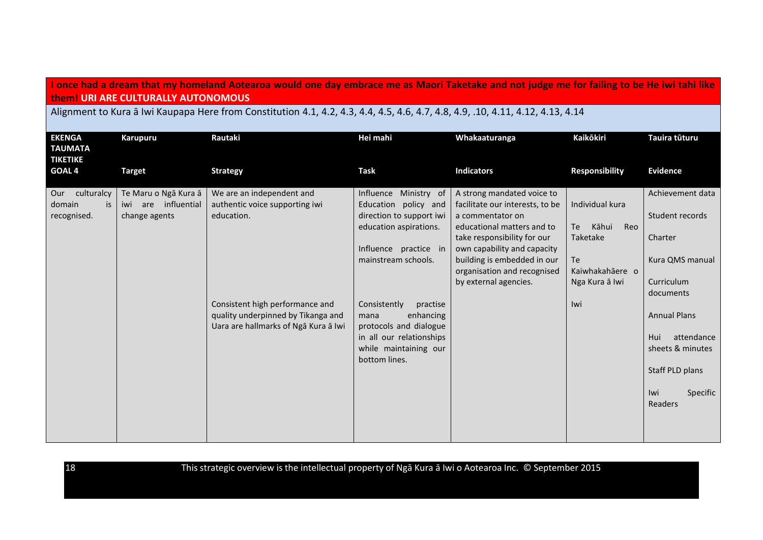## **I once had a dream that my homeland Aotearoa would one day embrace me as Maori Taketake and not judge me for failing to be He iwi tahi like them! URI ARE CULTURALLY AUTONOMOUS**

Alignment to Kura ā Iwi Kaupapa Here from Constitution 4.1, 4.2, 4.3, 4.4, 4.5, 4.6, 4.7, 4.8, 4.9, .10, 4.11, 4.12, 4.13, 4.14

| <b>EKENGA</b><br><b>TAUMATA</b><br><b>TIKETIKE</b> | <b>Karupuru</b>                                                 | Rautaki                                                                                                                                                                                    | Hei mahi                                                                                                                                                                                                                                                                                             | Whakaaturanga                                                                                                                                                                                                                                                        | Kaikōkiri                                                                                                  | Tauira tūturu                                                                                                                                                                                                 |
|----------------------------------------------------|-----------------------------------------------------------------|--------------------------------------------------------------------------------------------------------------------------------------------------------------------------------------------|------------------------------------------------------------------------------------------------------------------------------------------------------------------------------------------------------------------------------------------------------------------------------------------------------|----------------------------------------------------------------------------------------------------------------------------------------------------------------------------------------------------------------------------------------------------------------------|------------------------------------------------------------------------------------------------------------|---------------------------------------------------------------------------------------------------------------------------------------------------------------------------------------------------------------|
| GOAL <sub>4</sub>                                  | <b>Target</b>                                                   | <b>Strategy</b>                                                                                                                                                                            | <b>Task</b>                                                                                                                                                                                                                                                                                          | <b>Indicators</b>                                                                                                                                                                                                                                                    | <b>Responsibility</b>                                                                                      | Evidence                                                                                                                                                                                                      |
| Our culturalcy<br>domain<br>is<br>recognised.      | Te Maru o Ngā Kura ā<br>are influential<br>iwi<br>change agents | We are an independent and<br>authentic voice supporting iwi<br>education.<br>Consistent high performance and<br>quality underpinned by Tikanga and<br>Uara are hallmarks of Nga Kura a Iwi | Influence Ministry of<br>Education policy and<br>direction to support iwi<br>education aspirations.<br>Influence practice in<br>mainstream schools.<br>Consistently<br>practise<br>enhancing<br>mana<br>protocols and dialogue<br>in all our relationships<br>while maintaining our<br>bottom lines. | A strong mandated voice to<br>facilitate our interests, to be<br>a commentator on<br>educational matters and to<br>take responsibility for our<br>own capability and capacity<br>building is embedded in our<br>organisation and recognised<br>by external agencies. | Individual kura<br>Kāhui<br>Reo<br>Te<br>Taketake<br><b>Te</b><br>Kaiwhakahāere o<br>Nga Kura ā Iwi<br>Iwi | Achievement data<br>Student records<br>Charter<br>Kura QMS manual<br>Curriculum<br>documents<br><b>Annual Plans</b><br>attendance<br>Hui<br>sheets & minutes<br>Staff PLD plans<br>Iwi<br>Specific<br>Readers |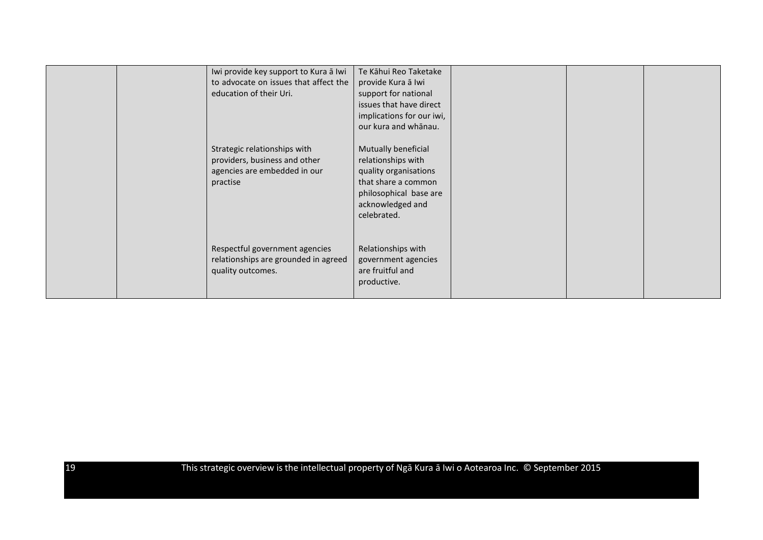|  | Iwi provide key support to Kura ā Iwi<br>to advocate on issues that affect the<br>education of their Uri.<br>Strategic relationships with<br>providers, business and other<br>agencies are embedded in our<br>practise | Te Kāhui Reo Taketake<br>provide Kura ā Iwi<br>support for national<br>issues that have direct<br>implications for our iwi,<br>our kura and whānau.<br>Mutually beneficial<br>relationships with<br>quality organisations<br>that share a common<br>philosophical base are<br>acknowledged and<br>celebrated. |  |  |
|--|------------------------------------------------------------------------------------------------------------------------------------------------------------------------------------------------------------------------|---------------------------------------------------------------------------------------------------------------------------------------------------------------------------------------------------------------------------------------------------------------------------------------------------------------|--|--|
|  | Respectful government agencies<br>relationships are grounded in agreed<br>quality outcomes.                                                                                                                            | Relationships with<br>government agencies<br>are fruitful and<br>productive.                                                                                                                                                                                                                                  |  |  |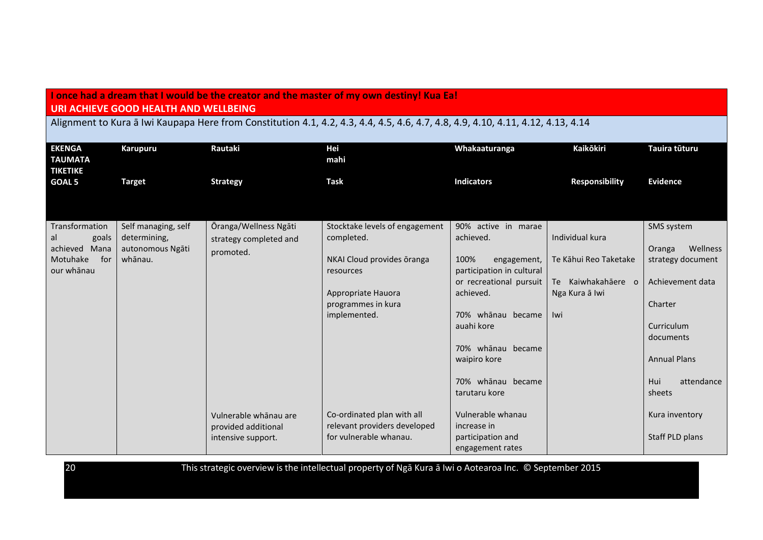## **I once had a dream that I would be the creator and the master of my own destiny! Kua Ea! URI ACHIEVE GOOD HEALTH AND WELLBEING**

Alignment to Kura ā Iwi Kaupapa Here from Constitution 4.1, 4.2, 4.3, 4.4, 4.5, 4.6, 4.7, 4.8, 4.9, 4.10, 4.11, 4.12, 4.13, 4.14

| <b>EKENGA</b><br><b>TAUMATA</b><br><b>TIKETIKE</b> | <b>Karupuru</b>     | Rautaki                | <b>Hei</b><br>mahi                      | Whakaaturanga                                    | <b>Kaikōkiri</b>      | Tauira tūturu       |
|----------------------------------------------------|---------------------|------------------------|-----------------------------------------|--------------------------------------------------|-----------------------|---------------------|
| <b>GOAL 5</b>                                      | <b>Target</b>       | <b>Strategy</b>        | <b>Task</b>                             | <b>Indicators</b>                                | <b>Responsibility</b> | <b>Evidence</b>     |
|                                                    |                     |                        |                                         |                                                  |                       |                     |
| Transformation                                     | Self managing, self | Ōranga/Wellness Ngāti  | Stocktake levels of engagement          | 90% active in marae                              |                       | SMS system          |
| al<br>goals                                        | determining,        | strategy completed and | completed.                              | achieved.                                        | Individual kura       |                     |
| achieved Mana                                      | autonomous Ngāti    | promoted.              |                                         |                                                  |                       | Wellness<br>Oranga  |
| Motuhake<br>for<br>our whānau                      | whānau.             |                        | NKAI Cloud provides oranga<br>resources | 100%<br>engagement,<br>participation in cultural | Te Kāhui Reo Taketake | strategy document   |
|                                                    |                     |                        |                                         | or recreational pursuit                          | Te Kaiwhakahāere o    | Achievement data    |
|                                                    |                     |                        | Appropriate Hauora                      | achieved.                                        | Nga Kura ā Iwi        |                     |
|                                                    |                     |                        | programmes in kura                      |                                                  |                       | Charter             |
|                                                    |                     |                        | implemented.                            | 70% whānau became                                | Iwi                   |                     |
|                                                    |                     |                        |                                         | auahi kore                                       |                       | Curriculum          |
|                                                    |                     |                        |                                         |                                                  |                       | documents           |
|                                                    |                     |                        |                                         | 70% whānau became                                |                       |                     |
|                                                    |                     |                        |                                         | waipiro kore                                     |                       | <b>Annual Plans</b> |
|                                                    |                     |                        |                                         | 70% whānau became                                |                       | Hui<br>attendance   |
|                                                    |                     |                        |                                         | tarutaru kore                                    |                       | sheets              |
|                                                    |                     | Vulnerable whānau are  | Co-ordinated plan with all              | Vulnerable whanau                                |                       | Kura inventory      |
|                                                    |                     | provided additional    | relevant providers developed            | increase in                                      |                       |                     |
|                                                    |                     | intensive support.     | for vulnerable whanau.                  | participation and                                |                       | Staff PLD plans     |
|                                                    |                     |                        |                                         | engagement rates                                 |                       |                     |

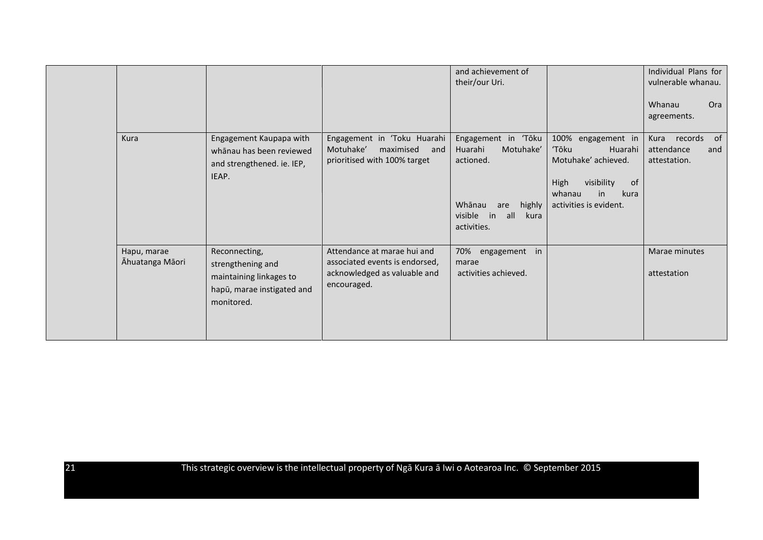|                                |                                                                                                           |                                                                                                              | and achievement of<br>their/our Uri.                                                                                               |                                                                                                                                                | Individual Plans for<br>vulnerable whanau.              |
|--------------------------------|-----------------------------------------------------------------------------------------------------------|--------------------------------------------------------------------------------------------------------------|------------------------------------------------------------------------------------------------------------------------------------|------------------------------------------------------------------------------------------------------------------------------------------------|---------------------------------------------------------|
|                                |                                                                                                           |                                                                                                              |                                                                                                                                    |                                                                                                                                                | Whanau<br>Ora<br>agreements.                            |
| Kura                           | Engagement Kaupapa with<br>whānau has been reviewed<br>and strengthened. ie. IEP,<br>IEAP.                | Engagement in 'Toku Huarahi<br>Motuhake'<br>maximised<br>and<br>prioritised with 100% target                 | Engagement in 'Tōku<br>Huarahi<br>Motuhake'<br>actioned.<br>Whānau<br>highly<br>are<br>all<br>visible<br>in<br>kura<br>activities. | 100%<br>engagement in<br>'Tōku<br>Huarahi<br>Motuhake' achieved.<br>visibility<br>High<br>of<br>whanau<br>kura<br>in<br>activities is evident. | of<br>Kura records<br>attendance<br>and<br>attestation. |
| Hapu, marae<br>Āhuatanga Māori | Reconnecting,<br>strengthening and<br>maintaining linkages to<br>hapū, marae instigated and<br>monitored. | Attendance at marae hui and<br>associated events is endorsed,<br>acknowledged as valuable and<br>encouraged. | 70% engagement in<br>marae<br>activities achieved.                                                                                 |                                                                                                                                                | Marae minutes<br>attestation                            |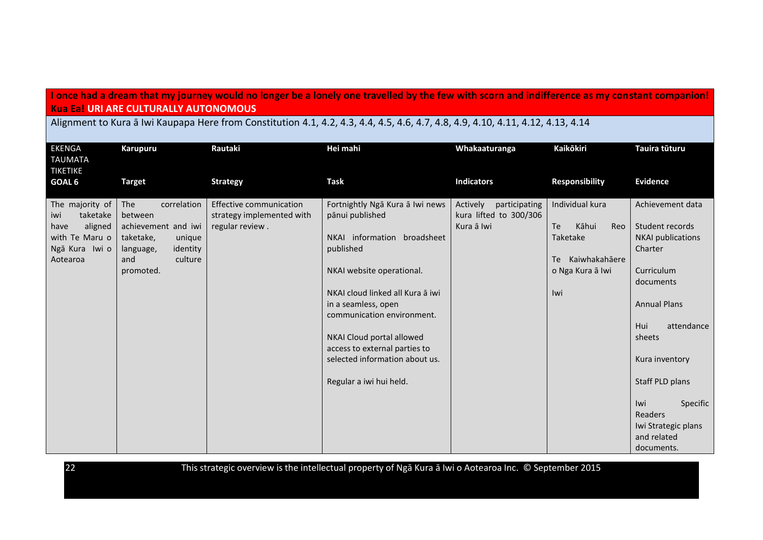## **I once had a dream that my journey would no longer be a lonely one travelled by the few with scorn and indifference as my constant companion! Kua Ea! URI ARE CULTURALLY AUTONOMOUS**

Alignment to Kura ā Iwi Kaupapa Here from Constitution 4.1, 4.2, 4.3, 4.4, 4.5, 4.6, 4.7, 4.8, 4.9, 4.10, 4.11, 4.12, 4.13, 4.14

| <b>EKENGA</b><br><b>TAUMATA</b><br><b>TIKETIKE</b>                                                    | <b>Karupuru</b>                                                                                                                     | Rautaki                                                                 | Hei mahi                                                                                                                                                                                                                                                                                                                                        | Whakaaturanga                                                     | Kaikōkiri                                                                                               | Tauira tūturu                                                                                                                                                                                                                                         |
|-------------------------------------------------------------------------------------------------------|-------------------------------------------------------------------------------------------------------------------------------------|-------------------------------------------------------------------------|-------------------------------------------------------------------------------------------------------------------------------------------------------------------------------------------------------------------------------------------------------------------------------------------------------------------------------------------------|-------------------------------------------------------------------|---------------------------------------------------------------------------------------------------------|-------------------------------------------------------------------------------------------------------------------------------------------------------------------------------------------------------------------------------------------------------|
| GOAL 6                                                                                                | <b>Target</b>                                                                                                                       | <b>Strategy</b>                                                         | <b>Task</b>                                                                                                                                                                                                                                                                                                                                     | <b>Indicators</b>                                                 | <b>Responsibility</b>                                                                                   | <b>Evidence</b>                                                                                                                                                                                                                                       |
| The majority of<br>taketake<br>iwi<br>aligned<br>have<br>with Te Maru o<br>Ngā Kura Iwi o<br>Aotearoa | The<br>correlation<br>between<br>achievement and iwi<br>taketake,<br>unique<br>identity<br>language,<br>and<br>culture<br>promoted. | Effective communication<br>strategy implemented with<br>regular review. | Fortnightly Ngā Kura ā Iwi news<br>pānui published<br>NKAI information broadsheet<br>published<br>NKAI website operational.<br>NKAI cloud linked all Kura a iwi<br>in a seamless, open<br>communication environment.<br>NKAI Cloud portal allowed<br>access to external parties to<br>selected information about us.<br>Regular a iwi hui held. | Actively<br>participating<br>kura lifted to 300/306<br>Kura ā Iwi | Individual kura<br><b>Te</b><br>Kāhui<br>Reo<br>Taketake<br>Te Kaiwhakahāere<br>o Nga Kura ā Iwi<br>Iwi | Achievement data<br>Student records<br><b>NKAI</b> publications<br>Charter<br>Curriculum<br>documents<br><b>Annual Plans</b><br>Hui<br>attendance<br>sheets<br>Kura inventory<br>Staff PLD plans<br>Specific<br>Iwi<br>Readers<br>Iwi Strategic plans |
|                                                                                                       |                                                                                                                                     |                                                                         |                                                                                                                                                                                                                                                                                                                                                 |                                                                   |                                                                                                         | and related<br>documents.                                                                                                                                                                                                                             |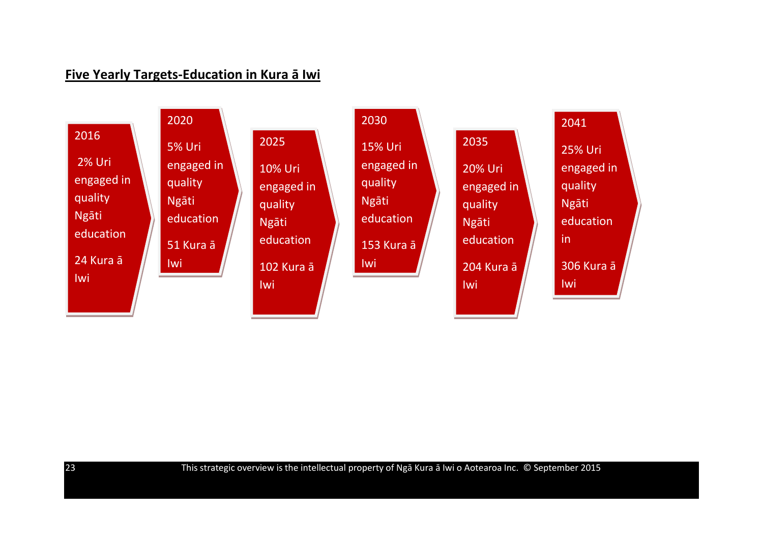# **Five Yearly Targets-Education in Kura ā Iwi**

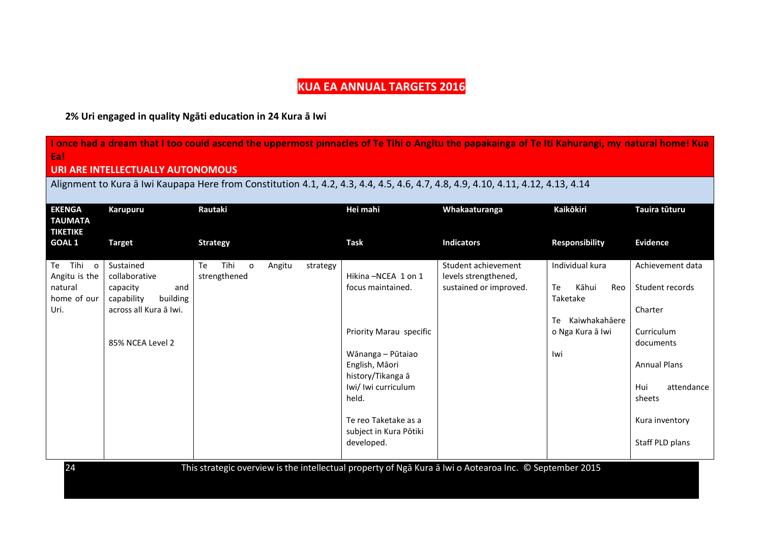# **KUA EA ANNUAL TARGETS 2016**

## **2% Uri engaged in quality Ngāti education in 24 Kura ā Iwi**

| I once had a dream that I too could ascend the uppermost pinnacles of Te Tihi o Angitu the papakainga of Te Iti Kahurangi, my natural home! Kua<br>Eal |                                                                                                                                  |                                                                                                         |                                                                                                                                                                  |                                                                       |                                                                                                  |                                                                                                                                 |  |
|--------------------------------------------------------------------------------------------------------------------------------------------------------|----------------------------------------------------------------------------------------------------------------------------------|---------------------------------------------------------------------------------------------------------|------------------------------------------------------------------------------------------------------------------------------------------------------------------|-----------------------------------------------------------------------|--------------------------------------------------------------------------------------------------|---------------------------------------------------------------------------------------------------------------------------------|--|
|                                                                                                                                                        | <b>URI ARE INTELLECTUALLY AUTONOMOUS</b>                                                                                         |                                                                                                         |                                                                                                                                                                  |                                                                       |                                                                                                  |                                                                                                                                 |  |
|                                                                                                                                                        | Alignment to Kura a Iwi Kaupapa Here from Constitution 4.1, 4.2, 4.3, 4.4, 4.5, 4.6, 4.7, 4.8, 4.9, 4.10, 4.11, 4.12, 4.13, 4.14 |                                                                                                         |                                                                                                                                                                  |                                                                       |                                                                                                  |                                                                                                                                 |  |
| <b>EKENGA</b><br><b>TAUMATA</b><br><b>TIKETIKE</b>                                                                                                     | <b>Karupuru</b>                                                                                                                  | Rautaki                                                                                                 | Hei mahi                                                                                                                                                         | Whakaaturanga                                                         | Kaikōkiri                                                                                        | Tauira tūturu                                                                                                                   |  |
| <b>GOAL1</b>                                                                                                                                           | <b>Target</b>                                                                                                                    | <b>Strategy</b>                                                                                         | <b>Task</b>                                                                                                                                                      | <b>Indicators</b>                                                     | <b>Responsibility</b>                                                                            | <b>Evidence</b>                                                                                                                 |  |
| Te Tihi o<br>Angitu is the<br>natural<br>home of our<br>Uri.                                                                                           | Sustained<br>collaborative<br>capacity<br>and<br>capability<br>building<br>across all Kura ā Iwi.<br>85% NCEA Level 2            | Tihi<br>Te<br>$\overline{O}$<br>Angitu<br>strategy<br>strengthened                                      | Hikina - NCEA 1 on 1<br>focus maintained.<br>Priority Marau specific<br>Wānanga - Pūtaiao<br>English, Māori<br>history/Tikanga ā<br>Iwi/ Iwi curriculum<br>held. | Student achievement<br>levels strengthened,<br>sustained or improved. | Individual kura<br>Kāhui<br>Te<br>Reo<br>Taketake<br>Te Kaiwhakahāere<br>o Nga Kura ā Iwi<br>Iwi | Achievement data<br>Student records<br>Charter<br>Curriculum<br>documents<br><b>Annual Plans</b><br>Hui<br>attendance<br>sheets |  |
| 24                                                                                                                                                     |                                                                                                                                  | This strategic overview is the intellectual property of Nga Kura a Iwi o Aotearoa Inc. © September 2015 | Te reo Taketake as a<br>subject in Kura Pōtiki<br>developed.                                                                                                     |                                                                       |                                                                                                  | Kura inventory<br>Staff PLD plans                                                                                               |  |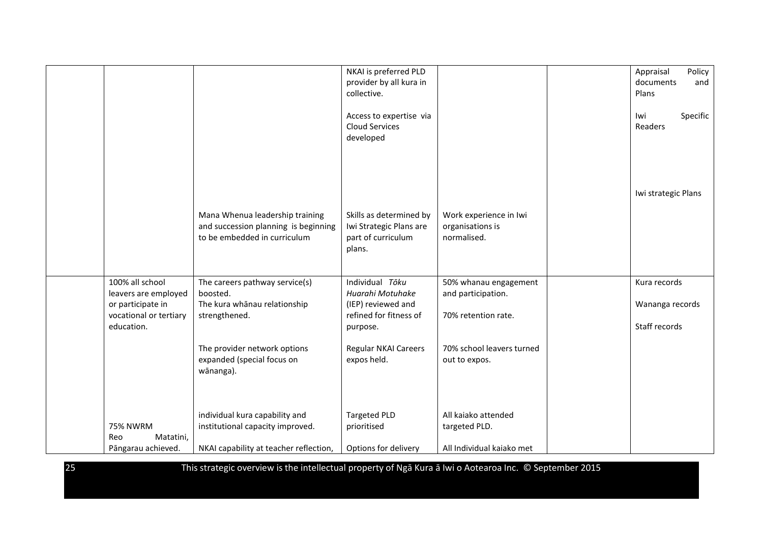|                        |                                        | NKAI is preferred PLD                        |                           | Appraisal<br>Policy |
|------------------------|----------------------------------------|----------------------------------------------|---------------------------|---------------------|
|                        |                                        | provider by all kura in                      |                           | documents<br>and    |
|                        |                                        | collective.                                  |                           | Plans               |
|                        |                                        |                                              |                           |                     |
|                        |                                        | Access to expertise via                      |                           | Specific<br>lwi     |
|                        |                                        | <b>Cloud Services</b>                        |                           | Readers             |
|                        |                                        | developed                                    |                           |                     |
|                        |                                        |                                              |                           |                     |
|                        |                                        |                                              |                           |                     |
|                        |                                        |                                              |                           |                     |
|                        |                                        |                                              |                           |                     |
|                        |                                        |                                              |                           | Iwi strategic Plans |
|                        |                                        |                                              |                           |                     |
|                        | Mana Whenua leadership training        | Skills as determined by                      | Work experience in Iwi    |                     |
|                        | and succession planning is beginning   | Iwi Strategic Plans are                      | organisations is          |                     |
|                        | to be embedded in curriculum           | part of curriculum                           | normalised.               |                     |
|                        |                                        | plans.                                       |                           |                     |
|                        |                                        |                                              |                           |                     |
|                        |                                        |                                              |                           |                     |
| 100% all school        | The careers pathway service(s)         | Individual Tōku                              | 50% whanau engagement     | Kura records        |
|                        | boosted.                               | Huarahi Motuhake                             |                           |                     |
| leavers are employed   |                                        |                                              | and participation.        |                     |
| or participate in      | The kura whānau relationship           | (IEP) reviewed and<br>refined for fitness of |                           | Wananga records     |
| vocational or tertiary | strengthened.                          |                                              | 70% retention rate.       |                     |
| education.             |                                        | purpose.                                     |                           | Staff records       |
|                        |                                        |                                              |                           |                     |
|                        | The provider network options           | Regular NKAI Careers                         | 70% school leavers turned |                     |
|                        | expanded (special focus on             | expos held.                                  | out to expos.             |                     |
|                        | wānanga).                              |                                              |                           |                     |
|                        |                                        |                                              |                           |                     |
|                        |                                        |                                              |                           |                     |
|                        |                                        |                                              |                           |                     |
|                        | individual kura capability and         | <b>Targeted PLD</b>                          | All kaiako attended       |                     |
| <b>75% NWRM</b>        | institutional capacity improved.       | prioritised                                  | targeted PLD.             |                     |
| Matatini,<br>Reo       |                                        |                                              |                           |                     |
| Pāngarau achieved.     | NKAI capability at teacher reflection, | Options for delivery                         | All Individual kaiako met |                     |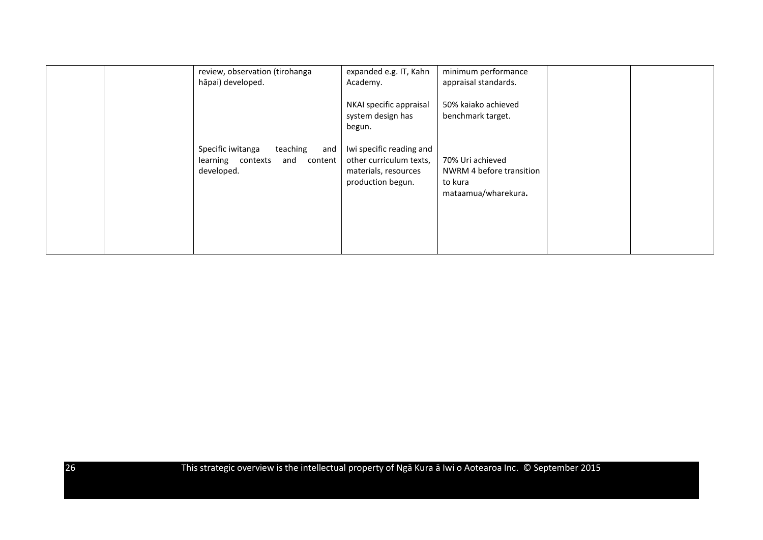| review, observation (tirohanga<br>hāpai) developed.                                       | expanded e.g. IT, Kahn<br>Academy.                                                               | minimum performance<br>appraisal standards.                                    |  |
|-------------------------------------------------------------------------------------------|--------------------------------------------------------------------------------------------------|--------------------------------------------------------------------------------|--|
|                                                                                           | NKAI specific appraisal<br>system design has<br>begun.                                           | 50% kaiako achieved<br>benchmark target.                                       |  |
| Specific iwitanga<br>teaching<br>and<br>learning contexts<br>and<br>content<br>developed. | Iwi specific reading and<br>other curriculum texts,<br>materials, resources<br>production begun. | 70% Uri achieved<br>NWRM 4 before transition<br>to kura<br>mataamua/wharekura. |  |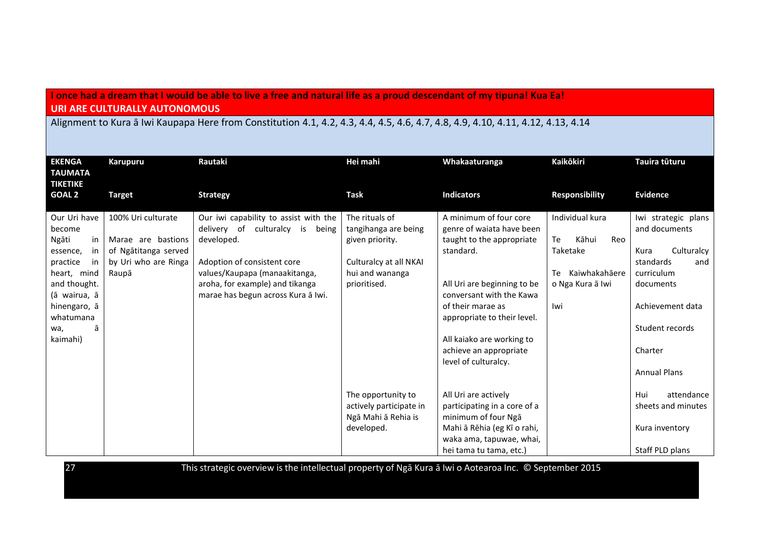## **I once had a dream that I would be able to live a free and natural life as a proud descendant of my tipuna! Kua Ea! URI ARE CULTURALLY AUTONOMOUS**

Alignment to Kura ā Iwi Kaupapa Here from Constitution 4.1, 4.2, 4.3, 4.4, 4.5, 4.6, 4.7, 4.8, 4.9, 4.10, 4.11, 4.12, 4.13, 4.14

| <b>EKENGA</b><br><b>TAUMATA</b><br><b>TIKETIKE</b> | Karupuru             | Rautaki                               | Hei mahi                | Whakaaturanga                | <b>Kaikōkiri</b>      | Tauira tūturu       |
|----------------------------------------------------|----------------------|---------------------------------------|-------------------------|------------------------------|-----------------------|---------------------|
| <b>GOAL 2</b>                                      | <b>Target</b>        | <b>Strategy</b>                       | <b>Task</b>             | <b>Indicators</b>            | <b>Responsibility</b> | <b>Evidence</b>     |
| Our Uri have                                       | 100% Uri culturate   | Our iwi capability to assist with the | The rituals of          | A minimum of four core       | Individual kura       | Iwi strategic plans |
| become                                             |                      | delivery of culturalcy is<br>being    | tangihanga are being    | genre of waiata have been    |                       | and documents       |
| Ngāti<br>in                                        | Marae are bastions   | developed.                            | given priority.         | taught to the appropriate    | Kāhui<br>Reo<br>Te    |                     |
| essence,<br>in                                     | of Ngātitanga served |                                       |                         | standard.                    | Taketake              | Kura<br>Culturalcy  |
| practice<br>in                                     | by Uri who are Ringa | Adoption of consistent core           | Culturalcy at all NKAI  |                              |                       | standards<br>and    |
| heart, mind                                        | Raupā                | values/Kaupapa (manaakitanga,         | hui and wananga         |                              | Kaiwhakahāere<br>Te   | curriculum          |
| and thought.                                       |                      | aroha, for example) and tikanga       | prioritised.            | All Uri are beginning to be  | o Nga Kura ā Iwi      | documents           |
| (ā wairua, ā                                       |                      | marae has begun across Kura ā Iwi.    |                         | conversant with the Kawa     |                       |                     |
| hinengaro, ā                                       |                      |                                       |                         | of their marae as            | lwi                   | Achievement data    |
| whatumana                                          |                      |                                       |                         | appropriate to their level.  |                       |                     |
| ā<br>wa,                                           |                      |                                       |                         |                              |                       | Student records     |
| kaimahi)                                           |                      |                                       |                         | All kaiako are working to    |                       |                     |
|                                                    |                      |                                       |                         | achieve an appropriate       |                       | Charter             |
|                                                    |                      |                                       |                         | level of culturalcy.         |                       |                     |
|                                                    |                      |                                       |                         |                              |                       | <b>Annual Plans</b> |
|                                                    |                      |                                       |                         |                              |                       |                     |
|                                                    |                      |                                       | The opportunity to      | All Uri are actively         |                       | Hui<br>attendance   |
|                                                    |                      |                                       | actively participate in | participating in a core of a |                       | sheets and minutes  |
|                                                    |                      |                                       | Ngā Mahi ā Rehia is     | minimum of four Nga          |                       |                     |
|                                                    |                      |                                       | developed.              | Mahi ā Rēhia (eg Kī o rahi,  |                       | Kura inventory      |
|                                                    |                      |                                       |                         | waka ama, tapuwae, whai,     |                       |                     |
|                                                    |                      |                                       |                         | hei tama tu tama, etc.)      |                       | Staff PLD plans     |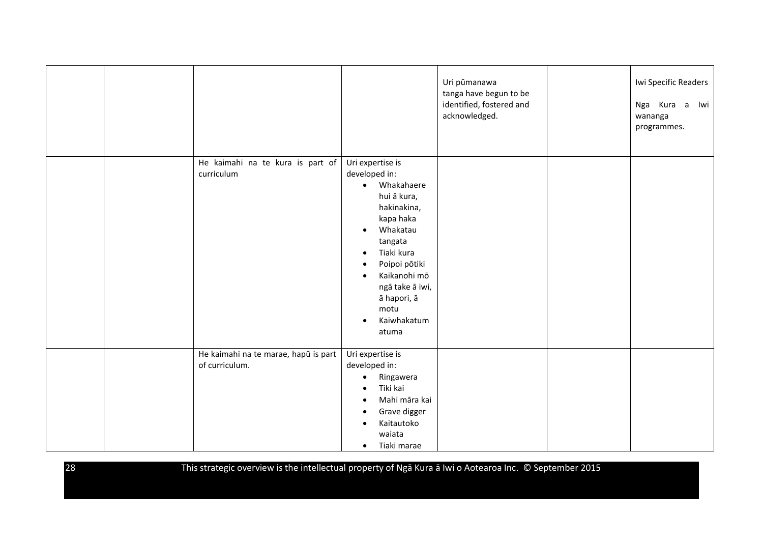|  |                                                        |                                                                                                                                                                                                                                                                                                       | Uri pūmanawa<br>tanga have begun to be<br>identified, fostered and<br>acknowledged. | Iwi Specific Readers<br>Nga Kura a Iwi<br>wananga<br>programmes. |
|--|--------------------------------------------------------|-------------------------------------------------------------------------------------------------------------------------------------------------------------------------------------------------------------------------------------------------------------------------------------------------------|-------------------------------------------------------------------------------------|------------------------------------------------------------------|
|  | He kaimahi na te kura is part of<br>curriculum         | Uri expertise is<br>developed in:<br>• Whakahaere<br>hui ā kura,<br>hakinakina,<br>kapa haka<br>Whakatau<br>$\bullet$<br>tangata<br>Tiaki kura<br>$\bullet$<br>Poipoi pōtiki<br>$\bullet$<br>Kaikanohi mō<br>$\bullet$<br>ngā take ā iwi,<br>ā hapori, ā<br>motu<br>Kaiwhakatum<br>$\bullet$<br>atuma |                                                                                     |                                                                  |
|  | He kaimahi na te marae, hapū is part<br>of curriculum. | Uri expertise is<br>developed in:<br>Ringawera<br>$\bullet$<br>Tiki kai<br>$\bullet$<br>Mahi māra kai<br>$\bullet$<br>Grave digger<br>$\bullet$<br>Kaitautoko<br>$\bullet$<br>waiata<br>Tiaki marae<br>$\bullet$                                                                                      |                                                                                     |                                                                  |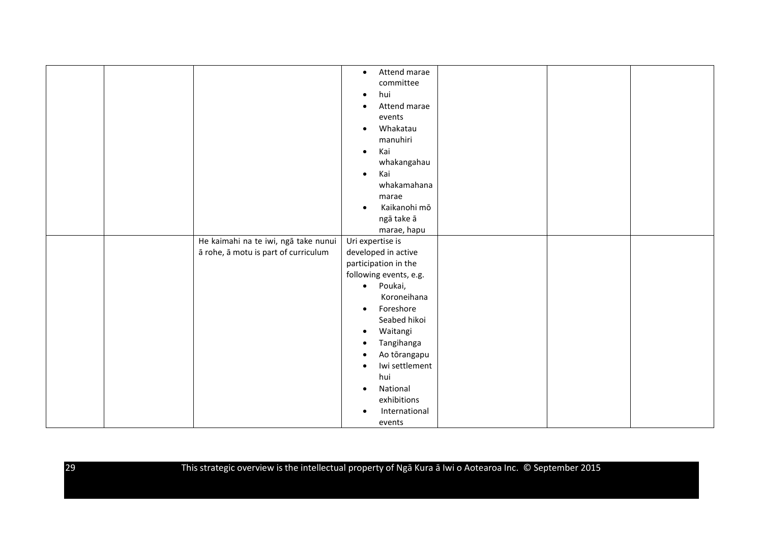|  |                                      | Attend marae<br>$\bullet$   |  |  |
|--|--------------------------------------|-----------------------------|--|--|
|  |                                      | committee                   |  |  |
|  |                                      | hui<br>$\bullet$            |  |  |
|  |                                      | Attend marae<br>$\bullet$   |  |  |
|  |                                      | events                      |  |  |
|  |                                      | Whakatau<br>$\bullet$       |  |  |
|  |                                      | manuhiri                    |  |  |
|  |                                      | Kai<br>$\bullet$            |  |  |
|  |                                      | whakangahau                 |  |  |
|  |                                      | Kai<br>$\bullet$            |  |  |
|  |                                      | whakamahana                 |  |  |
|  |                                      | marae                       |  |  |
|  |                                      | Kaikanohi mō<br>$\bullet$   |  |  |
|  |                                      | ngā take ā                  |  |  |
|  |                                      | marae, hapu                 |  |  |
|  | He kaimahi na te iwi, ngā take nunui | Uri expertise is            |  |  |
|  | ā rohe, ā motu is part of curriculum | developed in active         |  |  |
|  |                                      | participation in the        |  |  |
|  |                                      | following events, e.g.      |  |  |
|  |                                      | · Poukai,                   |  |  |
|  |                                      | Koroneihana                 |  |  |
|  |                                      | Foreshore<br>$\bullet$      |  |  |
|  |                                      | Seabed hikoi                |  |  |
|  |                                      | Waitangi<br>$\bullet$       |  |  |
|  |                                      | Tangihanga<br>$\bullet$     |  |  |
|  |                                      | Ao tōrangapu<br>$\bullet$   |  |  |
|  |                                      | Iwi settlement<br>$\bullet$ |  |  |
|  |                                      | hui                         |  |  |
|  |                                      | National<br>$\bullet$       |  |  |
|  |                                      | exhibitions                 |  |  |
|  |                                      |                             |  |  |
|  |                                      | International               |  |  |
|  |                                      | events                      |  |  |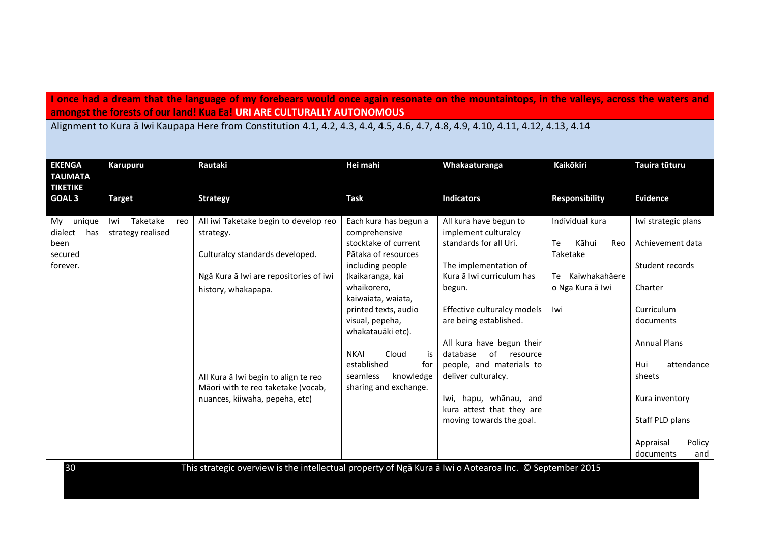## **I once had a dream that the language of my forebears would once again resonate on the mountaintops, in the valleys, across the waters and amongst the forests of our land! Kua Ea! URI ARE CULTURALLY AUTONOMOUS**

Alignment to Kura ā Iwi Kaupapa Here from Constitution 4.1, 4.2, 4.3, 4.4, 4.5, 4.6, 4.7, 4.8, 4.9, 4.10, 4.11, 4.12, 4.13, 4.14

| <b>EKENGA</b><br><b>TAUMATA</b><br><b>TIKETIKE</b>            | Karupuru                             | Rautaki                                                                                                                                                                                                                                                                       | Hei mahi                                                                                                                                                                                                                                                                                                                                 | Whakaaturanga                                                                                                                                                                                                                                                                                                                                                                                      | <b>Kaikōkiri</b>                                                                                    | Tauira tūturu                                                                                                                                                                               |
|---------------------------------------------------------------|--------------------------------------|-------------------------------------------------------------------------------------------------------------------------------------------------------------------------------------------------------------------------------------------------------------------------------|------------------------------------------------------------------------------------------------------------------------------------------------------------------------------------------------------------------------------------------------------------------------------------------------------------------------------------------|----------------------------------------------------------------------------------------------------------------------------------------------------------------------------------------------------------------------------------------------------------------------------------------------------------------------------------------------------------------------------------------------------|-----------------------------------------------------------------------------------------------------|---------------------------------------------------------------------------------------------------------------------------------------------------------------------------------------------|
| <b>GOAL 3</b>                                                 | <b>Target</b>                        | <b>Strategy</b>                                                                                                                                                                                                                                                               | <b>Task</b>                                                                                                                                                                                                                                                                                                                              | <b>Indicators</b>                                                                                                                                                                                                                                                                                                                                                                                  | <b>Responsibility</b>                                                                               | <b>Evidence</b>                                                                                                                                                                             |
| unique<br>My<br>dialect<br>has<br>been<br>secured<br>forever. | Taketake<br>Iwi<br>strategy realised | All iwi Taketake begin to develop reo<br>reo<br>strategy.<br>Culturalcy standards developed.<br>Ngā Kura ā Iwi are repositories of iwi<br>history, whakapapa.<br>All Kura ā Iwi begin to align te reo<br>Māori with te reo taketake (vocab,<br>nuances, kiiwaha, pepeha, etc) | Each kura has begun a<br>comprehensive<br>stocktake of current<br>Pātaka of resources<br>including people<br>(kaikaranga, kai<br>whaikorero,<br>kaiwaiata, waiata,<br>printed texts, audio<br>visual, pepeha,<br>whakatauāki etc).<br><b>NKAI</b><br>Cloud<br>is<br>established<br>for<br>knowledge<br>seamless<br>sharing and exchange. | All kura have begun to<br>implement culturalcy<br>standards for all Uri.<br>The implementation of<br>Kura ā Iwi curriculum has<br>begun.<br>Effective culturalcy models<br>are being established.<br>All kura have begun their<br>of<br>database<br>resource<br>people, and materials to<br>deliver culturalcy.<br>Iwi, hapu, whānau, and<br>kura attest that they are<br>moving towards the goal. | Individual kura<br>Kāhui<br>Te<br>Reo<br>Taketake<br>Kaiwhakahāere<br>Te<br>o Nga Kura ā Iwi<br>Iwi | Iwi strategic plans<br>Achievement data<br>Student records<br>Charter<br>Curriculum<br>documents<br><b>Annual Plans</b><br>attendance<br>Hui<br>sheets<br>Kura inventory<br>Staff PLD plans |
|                                                               |                                      | the contract of the contract of the con-                                                                                                                                                                                                                                      | $\mathbf{r}$ as $\mathbf{r} = \mathbf{r}$ .                                                                                                                                                                                                                                                                                              | $-1$ $-1$                                                                                                                                                                                                                                                                                                                                                                                          | $\sim$ $\sim$ $\sim$ $\sim$ $\sim$<br>$\bigcap_{n=1}^{\infty}$                                      | Policy<br>Appraisal<br>documents<br>and                                                                                                                                                     |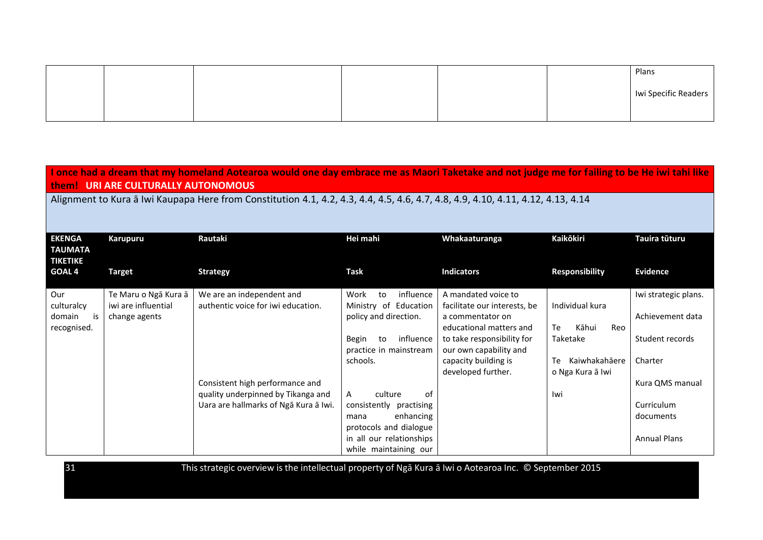|  |  |  | Plans                |
|--|--|--|----------------------|
|  |  |  | Iwi Specific Readers |
|  |  |  |                      |

**I once had a dream that my homeland Aotearoa would one day embrace me as Maori Taketake and not judge me for failing to be He iwi tahi like them! URI ARE CULTURALLY AUTONOMOUS**

Alignment to Kura ā Iwi Kaupapa Here from Constitution 4.1, 4.2, 4.3, 4.4, 4.5, 4.6, 4.7, 4.8, 4.9, 4.10, 4.11, 4.12, 4.13, 4.14

| <b>EKENGA</b><br>TAUMATA<br><b>TIKETIKE</b> | Karupuru                             | Rautaki                               | Hei mahi                                                  | Whakaaturanga                                                               | <b>Kaikōkiri</b>                        | Tauira tūturu        |
|---------------------------------------------|--------------------------------------|---------------------------------------|-----------------------------------------------------------|-----------------------------------------------------------------------------|-----------------------------------------|----------------------|
| <b>GOAL 4</b>                               | <b>Target</b>                        | <b>Strategy</b>                       | Task                                                      | <b>Indicators</b>                                                           | <b>Responsibility</b>                   | <b>Evidence</b>      |
| Our                                         | Te Maru o Ngā Kura ā                 | We are an independent and             | influence<br>Work<br>to                                   | A mandated voice to                                                         |                                         | Iwi strategic plans. |
| culturalcy<br>is<br>domain<br>recognised.   | iwi are influential<br>change agents | authentic voice for iwi education.    | Ministry of Education<br>policy and direction.            | facilitate our interests, be<br>a commentator on<br>educational matters and | Individual kura<br>Kāhui<br>Te<br>Reo   | Achievement data     |
|                                             |                                      |                                       | influence<br><b>Begin</b><br>to<br>practice in mainstream | to take responsibility for<br>our own capability and                        | Taketake                                | Student records      |
|                                             |                                      |                                       | schools.                                                  | capacity building is<br>developed further.                                  | Kaiwhakahāere<br>Te<br>o Nga Kura ā Iwi | Charter              |
|                                             |                                      | Consistent high performance and       |                                                           |                                                                             |                                         | Kura QMS manual      |
|                                             |                                      | quality underpinned by Tikanga and    | of<br>culture<br>A                                        |                                                                             | lwi                                     |                      |
|                                             |                                      | Uara are hallmarks of Nga Kura a Iwi. | consistently<br>practising                                |                                                                             |                                         | Curriculum           |
|                                             |                                      |                                       | enhancing<br>mana<br>protocols and dialogue               |                                                                             |                                         | documents            |
|                                             |                                      |                                       | in all our relationships<br>while maintaining our         |                                                                             |                                         | <b>Annual Plans</b>  |
|                                             |                                      |                                       |                                                           |                                                                             |                                         |                      |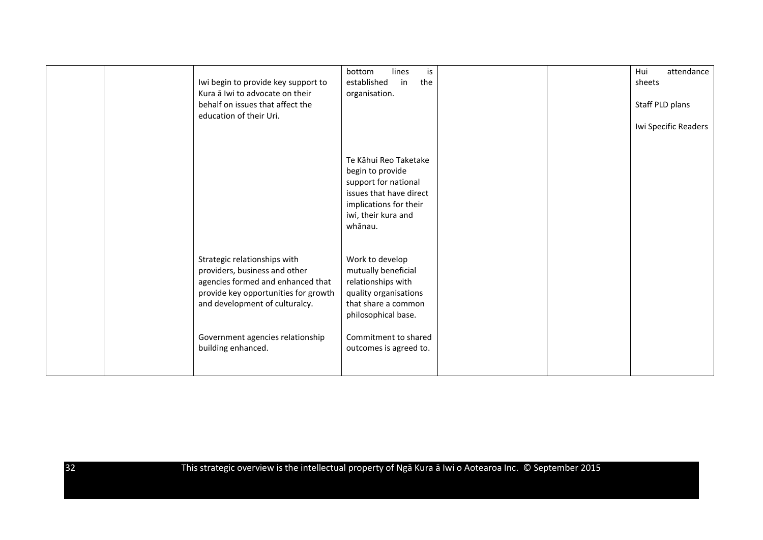| Iwi begin to provide key support to<br>Kura ā Iwi to advocate on their<br>behalf on issues that affect the<br>education of their Uri.                                        | bottom<br>lines<br>is<br>established<br>the<br>in<br>organisation.                                                                                       |  | attendance<br>Hui<br>sheets<br>Staff PLD plans<br>Iwi Specific Readers |
|------------------------------------------------------------------------------------------------------------------------------------------------------------------------------|----------------------------------------------------------------------------------------------------------------------------------------------------------|--|------------------------------------------------------------------------|
|                                                                                                                                                                              | Te Kāhui Reo Taketake<br>begin to provide<br>support for national<br>issues that have direct<br>implications for their<br>iwi, their kura and<br>whānau. |  |                                                                        |
| Strategic relationships with<br>providers, business and other<br>agencies formed and enhanced that<br>provide key opportunities for growth<br>and development of culturalcy. | Work to develop<br>mutually beneficial<br>relationships with<br>quality organisations<br>that share a common<br>philosophical base.                      |  |                                                                        |
| Government agencies relationship<br>building enhanced.                                                                                                                       | Commitment to shared<br>outcomes is agreed to.                                                                                                           |  |                                                                        |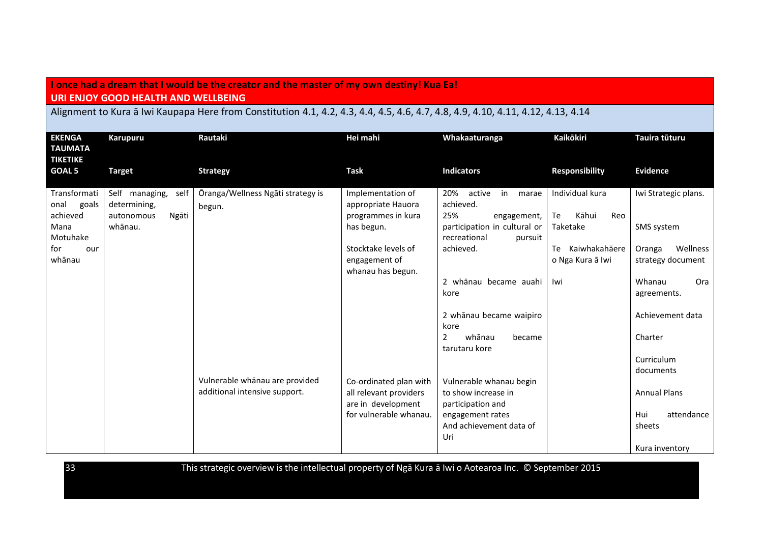#### **I once had a dream that I would be the creator and the master of my own destiny! Kua Ea! URI ENJOY GOOD HEALTH AND WELLBEING**

## Alignment to Kura ā Iwi Kaupapa Here from Constitution 4.1, 4.2, 4.3, 4.4, 4.5, 4.6, 4.7, 4.8, 4.9, 4.10, 4.11, 4.12, 4.13, 4.14

| <b>EKENGA</b><br><b>TAUMATA</b><br><b>TIKETIKE</b> | Karupuru                                                                 | Rautaki                                     | Hei mahi                                                                    | Whakaaturanga                                                                                | <b>Kaikōkiri</b>                                  | Tauira tūturu                           |
|----------------------------------------------------|--------------------------------------------------------------------------|---------------------------------------------|-----------------------------------------------------------------------------|----------------------------------------------------------------------------------------------|---------------------------------------------------|-----------------------------------------|
| <b>GOAL 5</b>                                      | <b>Target</b>                                                            | <b>Strategy</b>                             | <b>Task</b>                                                                 | <b>Indicators</b>                                                                            | <b>Responsibility</b>                             | <b>Evidence</b>                         |
| Transformati<br>onal<br>goals<br>achieved<br>Mana  | Self managing,<br>self<br>determining,<br>Ngāti<br>autonomous<br>whānau. | Ōranga/Wellness Ngāti strategy is<br>begun. | Implementation of<br>appropriate Hauora<br>programmes in kura<br>has begun. | 20% active<br>in<br>marae<br>achieved.<br>25%<br>engagement,<br>participation in cultural or | Individual kura<br>Te<br>Kāhui<br>Reo<br>Taketake | Iwi Strategic plans.<br>SMS system      |
| Motuhake<br>for<br>our<br>whānau                   |                                                                          |                                             | Stocktake levels of<br>engagement of<br>whanau has begun.                   | recreational<br>pursuit<br>achieved.                                                         | Te<br>Kaiwhakahāere<br>o Nga Kura ā Iwi           | Wellness<br>Oranga<br>strategy document |
|                                                    |                                                                          |                                             |                                                                             | 2 whānau became auahi<br>kore                                                                | lwi                                               | Whanau<br>Ora<br>agreements.            |
|                                                    |                                                                          |                                             |                                                                             | 2 whānau became waipiro<br>kore                                                              |                                                   | Achievement data                        |
|                                                    |                                                                          |                                             |                                                                             | 2<br>whānau<br>became<br>tarutaru kore                                                       |                                                   | Charter                                 |
|                                                    |                                                                          | Vulnerable whānau are provided              |                                                                             |                                                                                              |                                                   | Curriculum<br>documents                 |
|                                                    |                                                                          | additional intensive support.               | Co-ordinated plan with<br>all relevant providers<br>are in development      | Vulnerable whanau begin<br>to show increase in<br>participation and                          |                                                   | <b>Annual Plans</b>                     |
|                                                    |                                                                          |                                             | for vulnerable whanau.                                                      | engagement rates<br>And achievement data of<br>Uri                                           |                                                   | Hui<br>attendance<br>sheets             |
|                                                    |                                                                          |                                             |                                                                             |                                                                                              |                                                   | Kura inventory                          |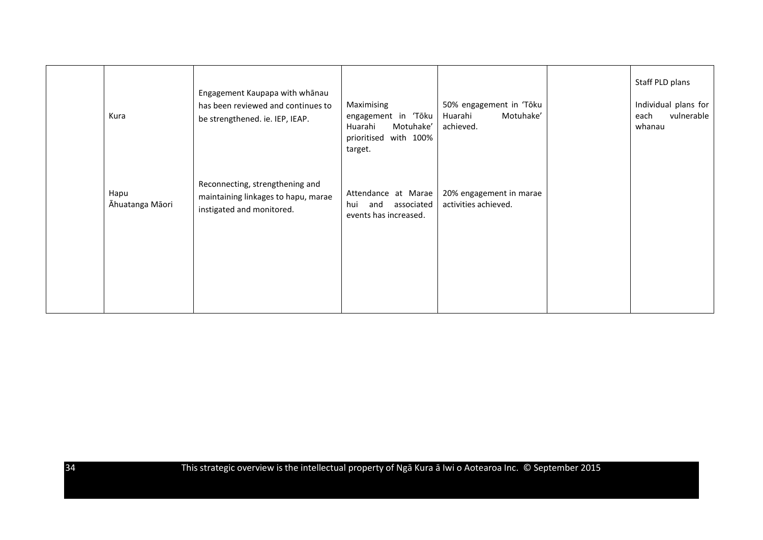| Kura                    | Engagement Kaupapa with whānau<br>has been reviewed and continues to<br>be strengthened. ie. IEP, IEAP. | Maximising<br>engagement in 'Tōku<br>Huarahi<br>Motuhake'<br>with 100%<br>prioritised<br>target. | 50% engagement in 'Tōku<br>Motuhake'<br>Huarahi<br>achieved. | Staff PLD plans<br>Individual plans for<br>vulnerable<br>each<br>whanau |
|-------------------------|---------------------------------------------------------------------------------------------------------|--------------------------------------------------------------------------------------------------|--------------------------------------------------------------|-------------------------------------------------------------------------|
| Hapu<br>Āhuatanga Māori | Reconnecting, strengthening and<br>maintaining linkages to hapu, marae<br>instigated and monitored.     | Attendance at Marae<br>associated<br>and<br>hui<br>events has increased.                         | 20% engagement in marae<br>activities achieved.              |                                                                         |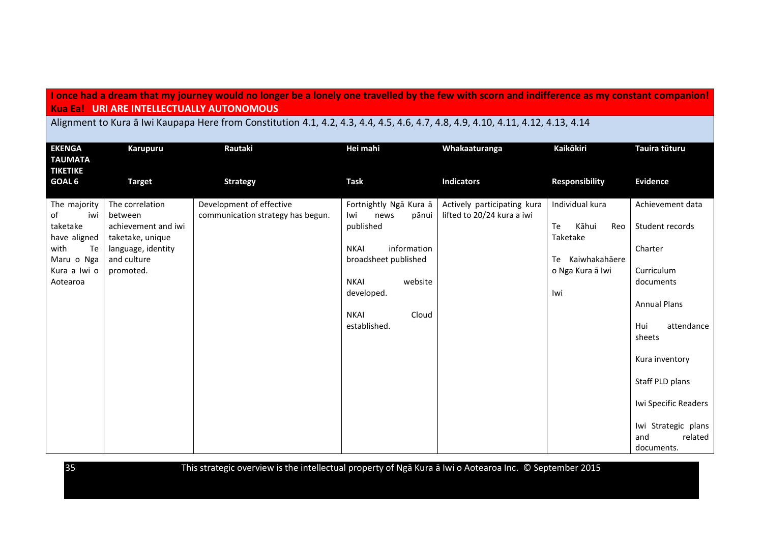## **I once had a dream that my journey would no longer be a lonely one travelled by the few with scorn and indifference as my constant companion! Kua Ea! URI ARE INTELLECTUALLY AUTONOMOUS**

Alignment to Kura ā Iwi Kaupapa Here from Constitution 4.1, 4.2, 4.3, 4.4, 4.5, 4.6, 4.7, 4.8, 4.9, 4.10, 4.11, 4.12, 4.13, 4.14

| <b>EKENGA</b><br><b>TAUMATA</b><br><b>TIKETIKE</b>                                                            | Karupuru                                                                                                                | Rautaki                                                       | Hei mahi                                                                                                                                                                                          | Whakaaturanga                                             | Kaikōkiri                                                                                           | Tauira tūturu                                                                                                                                     |
|---------------------------------------------------------------------------------------------------------------|-------------------------------------------------------------------------------------------------------------------------|---------------------------------------------------------------|---------------------------------------------------------------------------------------------------------------------------------------------------------------------------------------------------|-----------------------------------------------------------|-----------------------------------------------------------------------------------------------------|---------------------------------------------------------------------------------------------------------------------------------------------------|
| GOAL 6                                                                                                        | <b>Target</b>                                                                                                           | <b>Strategy</b>                                               | <b>Task</b>                                                                                                                                                                                       | <b>Indicators</b>                                         | <b>Responsibility</b>                                                                               | <b>Evidence</b>                                                                                                                                   |
| The majority<br>iwi<br>of<br>taketake<br>have aligned<br>with<br>Te<br>Maru o Nga<br>Kura a Iwi o<br>Aotearoa | The correlation<br>between<br>achievement and iwi<br>taketake, unique<br>language, identity<br>and culture<br>promoted. | Development of effective<br>communication strategy has begun. | Fortnightly Nga Kura a<br>news<br>pānui<br>Iwi<br>published<br>information<br><b>NKAI</b><br>broadsheet published<br>website<br><b>NKAI</b><br>developed.<br><b>NKAI</b><br>Cloud<br>established. | Actively participating kura<br>lifted to 20/24 kura a iwi | Individual kura<br>Te<br>Kāhui<br>Reo<br>Taketake<br>Te<br>Kaiwhakahāere<br>o Nga Kura ā Iwi<br>lwi | Achievement data<br>Student records<br>Charter<br>Curriculum<br>documents<br><b>Annual Plans</b><br>Hui<br>attendance<br>sheets<br>Kura inventory |
|                                                                                                               |                                                                                                                         |                                                               |                                                                                                                                                                                                   |                                                           |                                                                                                     | Staff PLD plans                                                                                                                                   |
|                                                                                                               |                                                                                                                         |                                                               |                                                                                                                                                                                                   |                                                           |                                                                                                     | Iwi Specific Readers                                                                                                                              |
|                                                                                                               |                                                                                                                         |                                                               |                                                                                                                                                                                                   |                                                           |                                                                                                     | Iwi Strategic plans<br>related<br>and<br>documents.                                                                                               |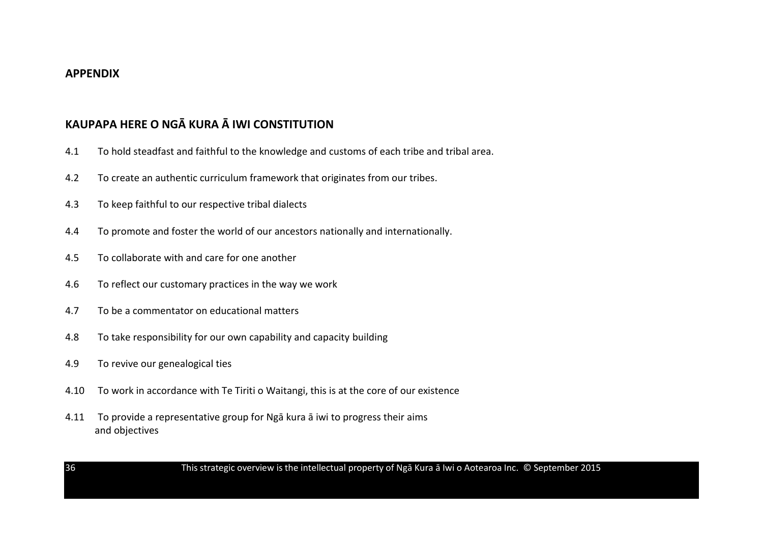## **APPENDIX**

# **KAUPAPA HERE O NGĀ KURA Ā IWI CONSTITUTION**

- 4.1 To hold steadfast and faithful to the knowledge and customs of each tribe and tribal area.
- 4.2 To create an authentic curriculum framework that originates from our tribes.
- 4.3 To keep faithful to our respective tribal dialects
- 4.4 To promote and foster the world of our ancestors nationally and internationally.
- 4.5 To collaborate with and care for one another
- 4.6 To reflect our customary practices in the way we work
- 4.7 To be a commentator on educational matters
- 4.8 To take responsibility for our own capability and capacity building
- 4.9 To revive our genealogical ties
- 4.10 To work in accordance with Te Tiriti o Waitangi, this is at the core of our existence
- 4.11 To provide a representative group for Ngā kura ā iwi to progress their aims and objectives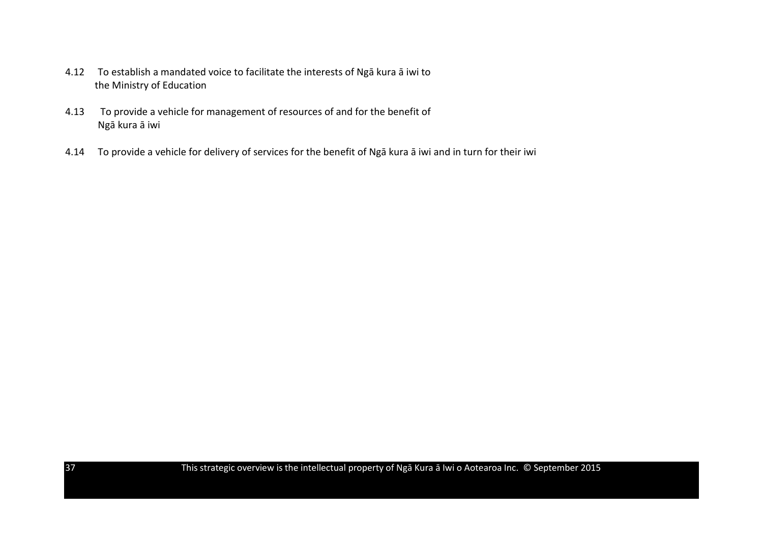- 4.12 To establish a mandated voice to facilitate the interests of Ngā kura ā iwi to the Ministry of Education
- 4.13 To provide a vehicle for management of resources of and for the benefit of Ngā kura ā iwi
- 4.14 To provide a vehicle for delivery of services for the benefit of Ngā kura ā iwi and in turn for their iwi